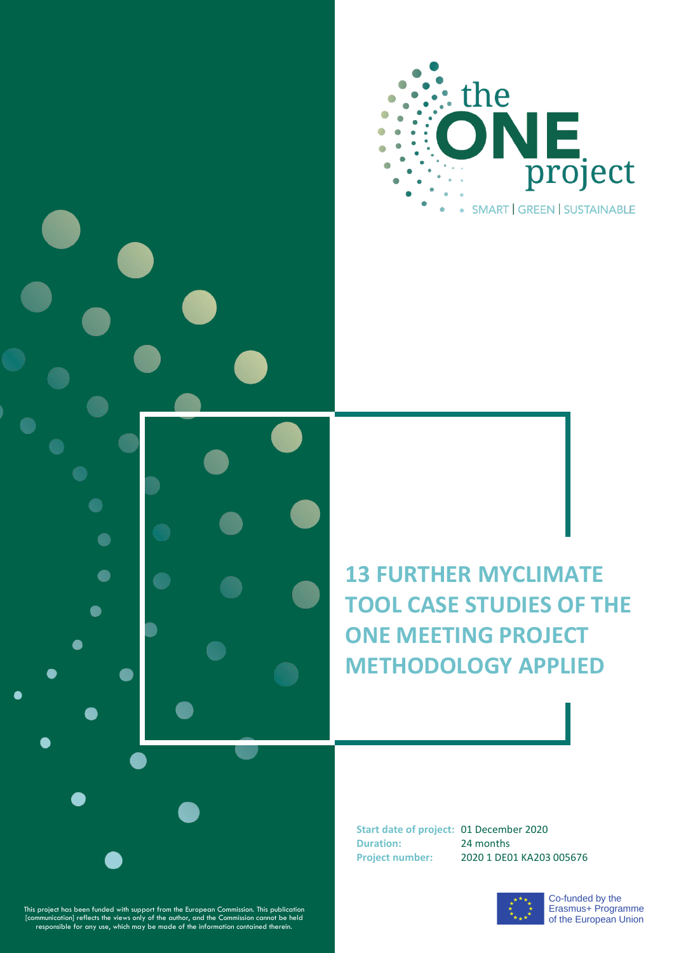

**13 FURTHER MYCLIMATE TOOL CASE STUDIES OF THE ONE MEETING PROJECT METHODOLOGY APPLIED**

**Start date of project:** 01 December 2020 **Duration:** 24 months **Project number:** 2020 1 DE01 KA203 005676



This project has been funded with support from the European Commission. This publication [communication] reflects the views only of the author, and the Commission cannot be held<br>responsible for any use, which may be made o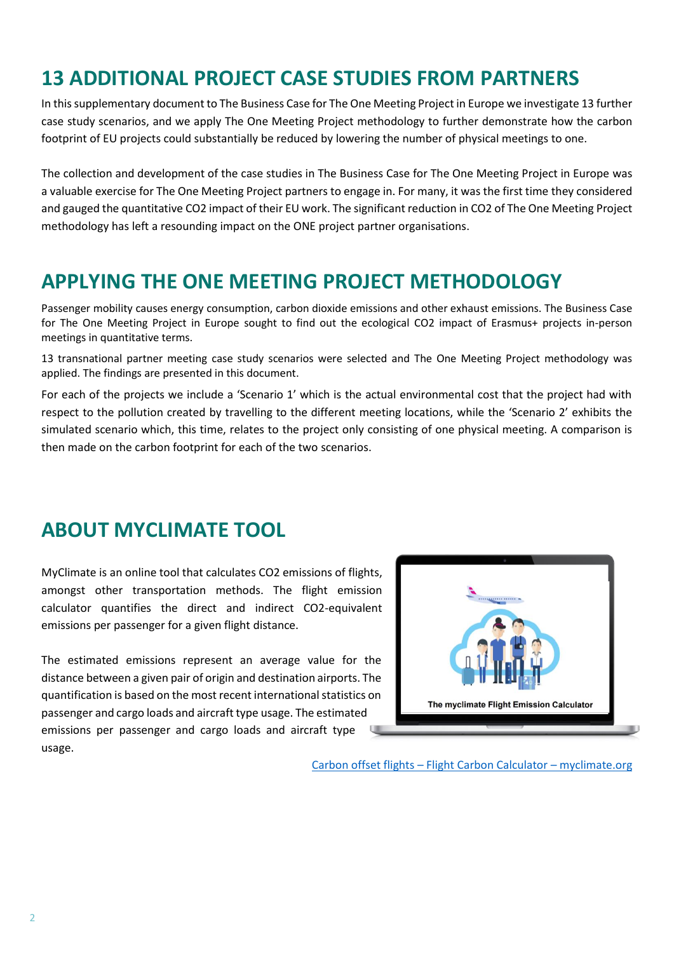### **13 ADDITIONAL PROJECT CASE STUDIES FROM PARTNERS**

In this supplementary document to The Business Case for The One Meeting Project in Europe we investigate 13 further case study scenarios, and we apply The One Meeting Project methodology to further demonstrate how the carbon footprint of EU projects could substantially be reduced by lowering the number of physical meetings to one.

The collection and development of the case studies in The Business Case for The One Meeting Project in Europe was a valuable exercise for The One Meeting Project partners to engage in. For many, it was the first time they considered and gauged the quantitative CO2 impact of their EU work. The significant reduction in CO2 of The One Meeting Project methodology has left a resounding impact on the ONE project partner organisations.

### **APPLYING THE ONE MEETING PROJECT METHODOLOGY**

Passenger mobility causes energy consumption, carbon dioxide emissions and other exhaust emissions. The Business Case for The One Meeting Project in Europe sought to find out the ecological CO2 impact of Erasmus+ projects in-person meetings in quantitative terms.

13 transnational partner meeting case study scenarios were selected and The One Meeting Project methodology was applied. The findings are presented in this document.

For each of the projects we include a 'Scenario 1' which is the actual environmental cost that the project had with respect to the pollution created by travelling to the different meeting locations, while the 'Scenario 2' exhibits the simulated scenario which, this time, relates to the project only consisting of one physical meeting. A comparison is then made on the carbon footprint for each of the two scenarios.

#### **ABOUT MYCLIMATE TOOL**

MyClimate is an online tool that calculates CO2 emissions of flights, amongst other transportation methods. The flight emission calculator quantifies the direct and indirect CO2-equivalent emissions per passenger for a given flight distance.

The estimated emissions represent an average value for the distance between a given pair of origin and destination airports. The quantification is based on the most recent international statistics on passenger and cargo loads and aircraft type usage. The estimated emissions per passenger and cargo loads and aircraft type usage.



Carbon offset flights – [Flight Carbon Calculator](https://co2.myclimate.org/en/flight_calculators/new) – myclimate.org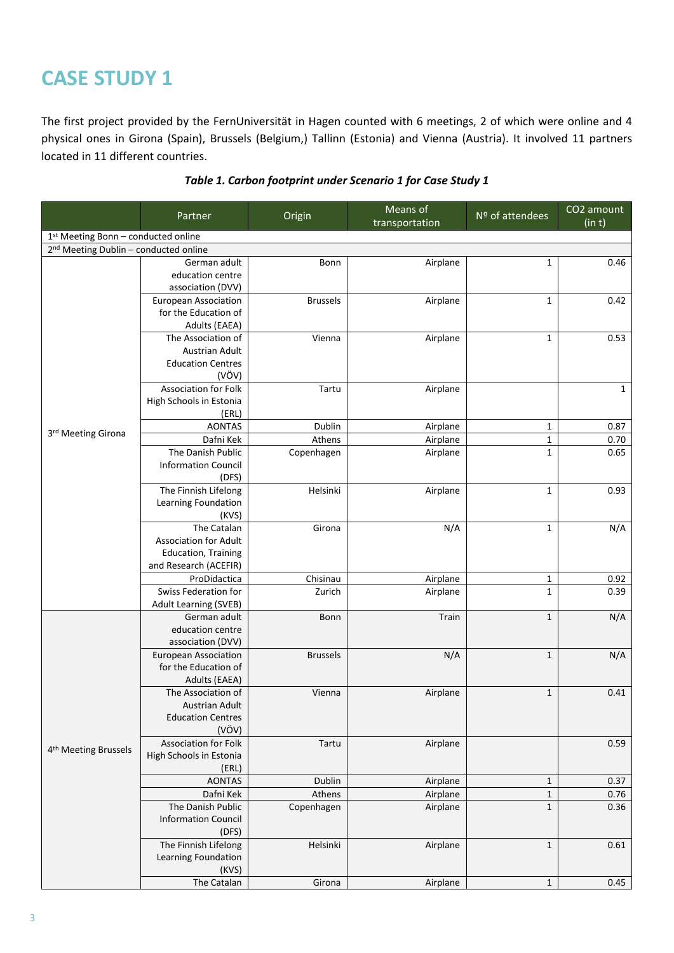The first project provided by the FernUniversität in Hagen counted with 6 meetings, 2 of which were online and 4 physical ones in Girona (Spain), Brussels (Belgium,) Tallinn (Estonia) and Vienna (Austria). It involved 11 partners located in 11 different countries.

|                                                   |                              |                 | Means of       | Nº of attendees | CO <sub>2</sub> amount |
|---------------------------------------------------|------------------------------|-----------------|----------------|-----------------|------------------------|
|                                                   | Partner                      | Origin          | transportation |                 | (in t)                 |
| 1st Meeting Bonn - conducted online               |                              |                 |                |                 |                        |
| 2 <sup>nd</sup> Meeting Dublin - conducted online |                              |                 |                |                 |                        |
|                                                   | German adult                 | Bonn            | Airplane       | $\mathbf{1}$    | 0.46                   |
|                                                   | education centre             |                 |                |                 |                        |
|                                                   | association (DVV)            |                 |                |                 |                        |
|                                                   | <b>European Association</b>  | <b>Brussels</b> | Airplane       | $\mathbf{1}$    | 0.42                   |
|                                                   | for the Education of         |                 |                |                 |                        |
|                                                   | Adults (EAEA)                |                 |                |                 |                        |
|                                                   | The Association of           | Vienna          | Airplane       | $\mathbf{1}$    | 0.53                   |
|                                                   | Austrian Adult               |                 |                |                 |                        |
|                                                   | <b>Education Centres</b>     |                 |                |                 |                        |
|                                                   | (VÖV)                        |                 |                |                 |                        |
|                                                   | <b>Association for Folk</b>  | Tartu           | Airplane       |                 | $\mathbf{1}$           |
|                                                   | High Schools in Estonia      |                 |                |                 |                        |
|                                                   | (ERL)                        |                 |                |                 |                        |
| 3rd Meeting Girona                                | <b>AONTAS</b>                | Dublin          | Airplane       | $\mathbf{1}$    | 0.87                   |
|                                                   | Dafni Kek                    | Athens          | Airplane       | $\mathbf 1$     | 0.70                   |
|                                                   | The Danish Public            | Copenhagen      | Airplane       | $\mathbf{1}$    | 0.65                   |
|                                                   | <b>Information Council</b>   |                 |                |                 |                        |
|                                                   | (DFS)                        |                 |                |                 |                        |
|                                                   | The Finnish Lifelong         | Helsinki        | Airplane       | $\mathbf{1}$    | 0.93                   |
|                                                   | Learning Foundation          |                 |                |                 |                        |
|                                                   | (KVS)                        |                 |                |                 |                        |
|                                                   | The Catalan                  | Girona          | N/A            | $\mathbf 1$     | N/A                    |
|                                                   | <b>Association for Adult</b> |                 |                |                 |                        |
|                                                   | <b>Education, Training</b>   |                 |                |                 |                        |
|                                                   | and Research (ACEFIR)        |                 |                |                 |                        |
|                                                   | ProDidactica                 | Chisinau        | Airplane       | $\mathbf{1}$    | 0.92                   |
|                                                   | Swiss Federation for         | Zurich          | Airplane       | $\mathbf{1}$    | 0.39                   |
|                                                   | <b>Adult Learning (SVEB)</b> |                 |                |                 |                        |
|                                                   | German adult                 | Bonn            | Train          | $1\,$           | N/A                    |
|                                                   | education centre             |                 |                |                 |                        |
|                                                   | association (DVV)            |                 |                |                 |                        |
|                                                   | <b>European Association</b>  | <b>Brussels</b> | N/A            | $\mathbf 1$     | N/A                    |
|                                                   | for the Education of         |                 |                |                 |                        |
|                                                   | Adults (EAEA)                |                 |                |                 |                        |
|                                                   | The Association of           | Vienna          | Airplane       | $\mathbf 1$     | 0.41                   |
|                                                   | <b>Austrian Adult</b>        |                 |                |                 |                        |
|                                                   | <b>Education Centres</b>     |                 |                |                 |                        |
|                                                   | (VÖV)                        |                 |                |                 |                        |
| 4 <sup>th</sup> Meeting Brussels                  | <b>Association for Folk</b>  | Tartu           | Airplane       |                 | 0.59                   |
|                                                   | High Schools in Estonia      |                 |                |                 |                        |
|                                                   | (ERL)                        |                 |                |                 |                        |
|                                                   | <b>AONTAS</b>                | Dublin          | Airplane       | $\mathbf{1}$    | 0.37                   |
|                                                   | Dafni Kek                    | Athens          | Airplane       | $\mathbf 1$     | 0.76                   |
|                                                   | The Danish Public            | Copenhagen      | Airplane       | $\mathbf 1$     | 0.36                   |
|                                                   | <b>Information Council</b>   |                 |                |                 |                        |
|                                                   | (DFS)                        |                 |                |                 |                        |
|                                                   | The Finnish Lifelong         | Helsinki        | Airplane       | $\mathbf 1$     | 0.61                   |
|                                                   | Learning Foundation          |                 |                |                 |                        |
|                                                   | (KVS)                        |                 |                |                 |                        |
|                                                   | The Catalan                  | Girona          | Airplane       | $\mathbf 1$     | 0.45                   |

#### *Table 1. Carbon footprint under Scenario 1 for Case Study 1*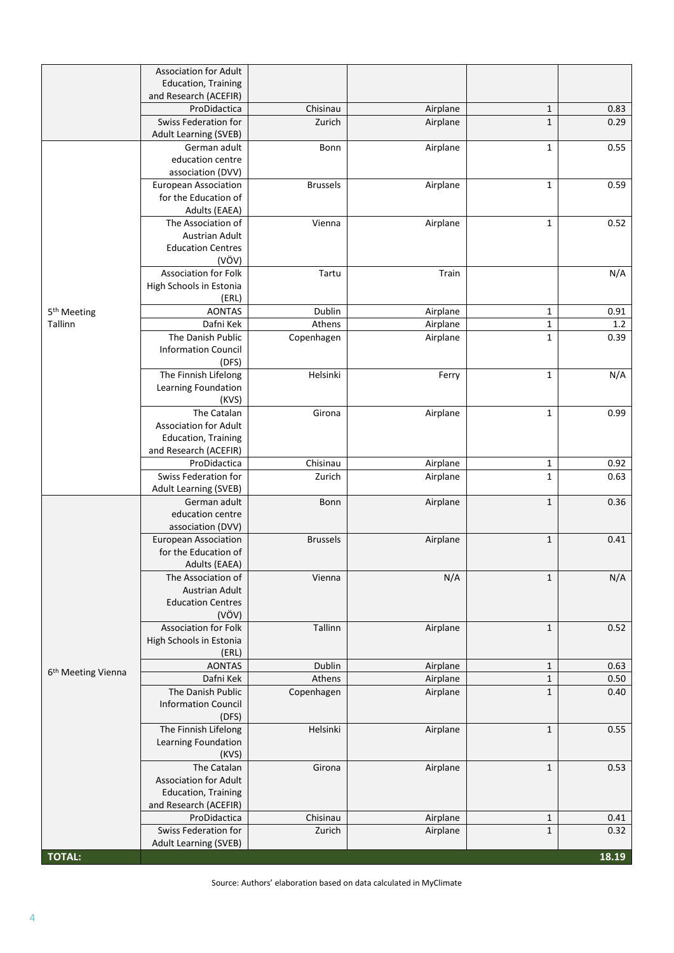|                                | <b>Association for Adult</b>                        |                      |                      |                             |              |
|--------------------------------|-----------------------------------------------------|----------------------|----------------------|-----------------------------|--------------|
|                                | <b>Education, Training</b>                          |                      |                      |                             |              |
|                                | and Research (ACEFIR)                               |                      |                      |                             |              |
|                                | ProDidactica<br>Swiss Federation for                | Chisinau<br>Zurich   | Airplane<br>Airplane | $\mathbf{1}$<br>$1\,$       | 0.83<br>0.29 |
|                                | <b>Adult Learning (SVEB)</b>                        |                      |                      |                             |              |
|                                | German adult                                        | Bonn                 | Airplane             | $\mathbf{1}$                | 0.55         |
|                                | education centre                                    |                      |                      |                             |              |
|                                | association (DVV)                                   |                      |                      |                             |              |
|                                | <b>European Association</b>                         | <b>Brussels</b>      | Airplane             | $\mathbf{1}$                | 0.59         |
|                                | for the Education of                                |                      |                      |                             |              |
|                                | Adults (EAEA)                                       |                      |                      |                             |              |
|                                | The Association of<br><b>Austrian Adult</b>         | Vienna               | Airplane             | $\mathbf 1$                 | 0.52         |
|                                | <b>Education Centres</b>                            |                      |                      |                             |              |
|                                | (VÖV)                                               |                      |                      |                             |              |
|                                | Association for Folk                                | Tartu                | Train                |                             | N/A          |
|                                | High Schools in Estonia                             |                      |                      |                             |              |
|                                | (ERL)                                               |                      |                      |                             |              |
| 5 <sup>th</sup> Meeting        | <b>AONTAS</b>                                       | Dublin               | Airplane             | 1                           | 0.91         |
| Tallinn                        | Dafni Kek                                           | Athens               | Airplane             | $\mathbf 1$                 | 1.2          |
|                                | The Danish Public                                   | Copenhagen           | Airplane             | $\mathbf{1}$                | 0.39         |
|                                | <b>Information Council</b><br>(DFS)                 |                      |                      |                             |              |
|                                | The Finnish Lifelong                                | Helsinki             | Ferry                | $\mathbf 1$                 | N/A          |
|                                | Learning Foundation                                 |                      |                      |                             |              |
|                                | (KVS)                                               |                      |                      |                             |              |
|                                | The Catalan                                         | Girona               | Airplane             | $\mathbf{1}$                | 0.99         |
|                                | <b>Association for Adult</b>                        |                      |                      |                             |              |
|                                | <b>Education, Training</b>                          |                      |                      |                             |              |
|                                | and Research (ACEFIR)<br>ProDidactica               |                      |                      |                             | 0.92         |
|                                | Swiss Federation for                                | Chisinau<br>Zurich   | Airplane<br>Airplane | $\mathbf{1}$<br>$\mathbf 1$ | 0.63         |
|                                | <b>Adult Learning (SVEB)</b>                        |                      |                      |                             |              |
|                                | German adult                                        | Bonn                 | Airplane             | $1\,$                       | 0.36         |
|                                | education centre                                    |                      |                      |                             |              |
|                                | association (DVV)                                   |                      |                      |                             |              |
|                                | <b>European Association</b>                         | <b>Brussels</b>      | Airplane             | $\mathbf 1$                 | 0.41         |
|                                | for the Education of<br>Adults (EAEA)               |                      |                      |                             |              |
|                                | The Association of                                  | Vienna               | N/A                  | $\mathbf 1$                 | N/A          |
|                                | <b>Austrian Adult</b>                               |                      |                      |                             |              |
|                                | <b>Education Centres</b>                            |                      |                      |                             |              |
|                                | (VÖV)                                               |                      |                      |                             |              |
|                                | <b>Association for Folk</b>                         | Tallinn              | Airplane             | $\mathbf{1}$                | 0.52         |
|                                | High Schools in Estonia                             |                      |                      |                             |              |
|                                | (ERL)                                               |                      |                      |                             |              |
| 6 <sup>th</sup> Meeting Vienna | <b>AONTAS</b>                                       | Dublin               | Airplane             | $\mathbf{1}$                | 0.63         |
|                                | Dafni Kek<br>The Danish Public                      | Athens<br>Copenhagen | Airplane<br>Airplane | $\mathbf{1}$<br>$\mathbf 1$ | 0.50<br>0.40 |
|                                | <b>Information Council</b>                          |                      |                      |                             |              |
|                                | (DFS)                                               |                      |                      |                             |              |
|                                | The Finnish Lifelong                                | Helsinki             | Airplane             | $\mathbf 1$                 | 0.55         |
|                                | Learning Foundation                                 |                      |                      |                             |              |
|                                | (KVS)                                               |                      |                      |                             |              |
|                                | The Catalan                                         | Girona               | Airplane             | $1\,$                       | 0.53         |
|                                | <b>Association for Adult</b>                        |                      |                      |                             |              |
|                                | <b>Education, Training</b><br>and Research (ACEFIR) |                      |                      |                             |              |
|                                | ProDidactica                                        | Chisinau             | Airplane             | $\mathbf{1}$                | 0.41         |
|                                | Swiss Federation for                                | Zurich               | Airplane             | $\mathbf 1$                 | 0.32         |
|                                | Adult Learning (SVEB)                               |                      |                      |                             |              |
| <b>TOTAL:</b>                  |                                                     |                      |                      |                             | 18.19        |

Source: Authors' elaboration based on data calculated in MyClimate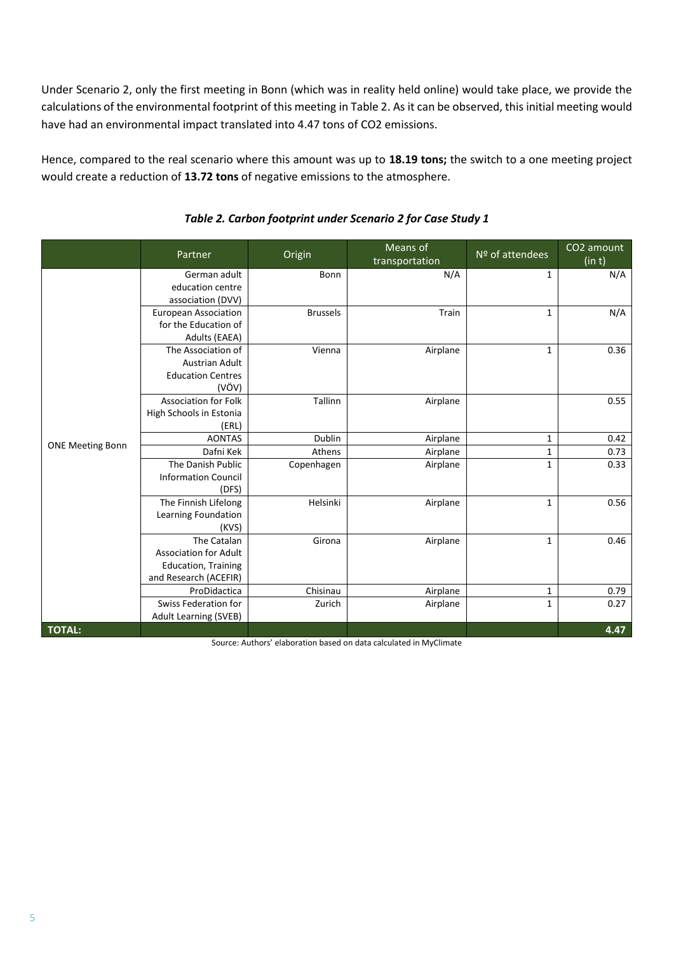Under Scenario 2, only the first meeting in Bonn (which was in reality held online) would take place, we provide the calculations of the environmental footprint of this meeting in [Table 2.](#page-4-0) As it can be observed, this initial meeting would have had an environmental impact translated into 4.47 tons of CO2 emissions.

Hence, compared to the real scenario where this amount was up to **18.19 tons;** the switch to a one meeting project would create a reduction of **13.72 tons** of negative emissions to the atmosphere.

<span id="page-4-0"></span>

|                         | Partner                                                                                            | Origin          | Means of<br>transportation                                         | Nº of attendees | CO2 amount<br>(in t) |
|-------------------------|----------------------------------------------------------------------------------------------------|-----------------|--------------------------------------------------------------------|-----------------|----------------------|
|                         | German adult<br>education centre<br>association (DVV)                                              | Bonn            | N/A                                                                | 1               | N/A                  |
|                         | European Association<br>for the Education of<br>Adults (EAEA)                                      | <b>Brussels</b> | Train                                                              | 1               | N/A                  |
|                         | The Association of<br><b>Austrian Adult</b><br><b>Education Centres</b><br>(VÖV)                   | Vienna          | Airplane                                                           | 1               | 0.36                 |
|                         | <b>Association for Folk</b><br>High Schools in Estonia<br>(ERL)                                    | Tallinn         | Airplane                                                           |                 | 0.55                 |
|                         | <b>AONTAS</b>                                                                                      | Dublin          | Airplane                                                           | 1               | 0.42                 |
| <b>ONE Meeting Bonn</b> | Dafni Kek                                                                                          | Athens          | Airplane                                                           | 1               | 0.73                 |
|                         | The Danish Public<br><b>Information Council</b><br>(DFS)                                           | Copenhagen      | Airplane                                                           | $\mathbf{1}$    | 0.33                 |
|                         | The Finnish Lifelong<br>Learning Foundation<br>(KVS)                                               | Helsinki        | Airplane                                                           | 1               | 0.56                 |
|                         | The Catalan<br><b>Association for Adult</b><br><b>Education, Training</b><br>and Research (ACEFIR) | Girona          | Airplane                                                           | $\mathbf{1}$    | 0.46                 |
|                         | ProDidactica                                                                                       | Chisinau        | Airplane                                                           | 1               | 0.79                 |
|                         | <b>Swiss Federation for</b><br><b>Adult Learning (SVEB)</b>                                        | Zurich          | Airplane                                                           | 1               | 0.27                 |
| <b>TOTAL:</b>           |                                                                                                    |                 | Source: Authors' elaboration based on data calculated in MyClimate |                 | 4.47                 |

#### *Table 2. Carbon footprint under Scenario 2 for Case Study 1*

'ce: Authors' elaboration based on data calculated in MyC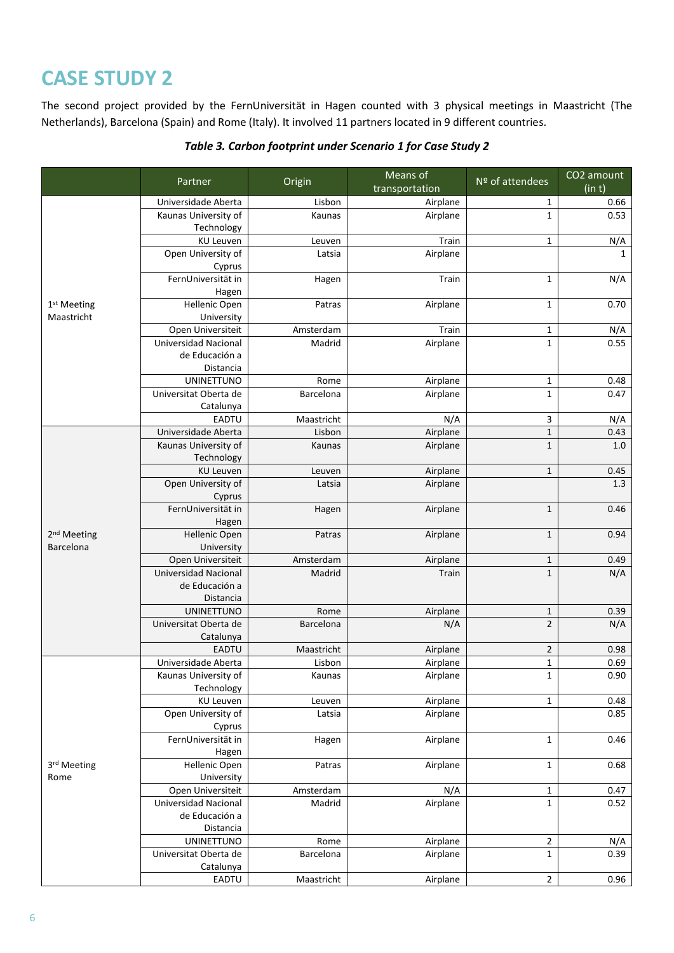The second project provided by the FernUniversität in Hagen counted with 3 physical meetings in Maastricht (The Netherlands), Barcelona (Spain) and Rome (Italy). It involved 11 partners located in 9 different countries.

|                         | Origin<br>Partner              |                   | Means of        | Nº of attendees  | CO2 amount   |
|-------------------------|--------------------------------|-------------------|-----------------|------------------|--------------|
|                         |                                |                   | transportation  |                  | (in t)       |
|                         | Universidade Aberta            | Lisbon            | Airplane        | 1                | 0.66         |
|                         | Kaunas University of           | Kaunas            | Airplane        | $\mathbf{1}$     | 0.53         |
|                         | Technology                     |                   |                 |                  |              |
|                         | KU Leuven                      | Leuven            | Train           | $\mathbf 1$      | N/A          |
|                         | Open University of             | Latsia            | Airplane        |                  | $\mathbf{1}$ |
|                         | Cyprus<br>FernUniversität in   |                   | Train           |                  |              |
|                         |                                | Hagen             |                 | $\mathbf 1$      | N/A          |
| 1 <sup>st</sup> Meeting | Hagen<br>Hellenic Open         | Patras            | Airplane        | $\mathbf 1$      | 0.70         |
| Maastricht              | University                     |                   |                 |                  |              |
|                         | Open Universiteit              | Amsterdam         | Train           | $\mathbf{1}$     | N/A          |
|                         | Universidad Nacional           | Madrid            | Airplane        | $\mathbf 1$      | 0.55         |
|                         | de Educación a                 |                   |                 |                  |              |
|                         | Distancia                      |                   |                 |                  |              |
|                         | <b>UNINETTUNO</b>              | Rome              | Airplane        | 1                | 0.48         |
|                         | Universitat Oberta de          | Barcelona         | Airplane        | $\mathbf 1$      | 0.47         |
|                         | Catalunya                      |                   |                 |                  |              |
|                         | EADTU                          | Maastricht        | N/A             | $\mathbf{3}$     | N/A          |
|                         | Universidade Aberta            | Lisbon            | Airplane        | $\mathbf 1$      | 0.43         |
|                         | Kaunas University of           | Kaunas            | Airplane        | $\mathbf 1$      | 1.0          |
|                         | Technology                     |                   |                 |                  |              |
|                         | <b>KU Leuven</b>               | Leuven            | Airplane        | $\mathbf 1$      | 0.45         |
|                         | Open University of             | Latsia            | Airplane        |                  | 1.3          |
|                         | Cyprus                         |                   |                 |                  |              |
|                         | FernUniversität in             | Hagen             | Airplane        | $1\,$            | 0.46         |
|                         | Hagen                          |                   |                 |                  |              |
| 2 <sup>nd</sup> Meeting | Hellenic Open                  | Patras            | Airplane        | $1\,$            | 0.94         |
| Barcelona               | University                     |                   |                 |                  |              |
|                         | Open Universiteit              | Amsterdam         | Airplane        | $1\,$            | 0.49         |
|                         | <b>Universidad Nacional</b>    | Madrid            | Train           | $\mathbf 1$      | N/A          |
|                         | de Educación a                 |                   |                 |                  |              |
|                         | Distancia<br><b>UNINETTUNO</b> |                   |                 |                  |              |
|                         | Universitat Oberta de          | Rome<br>Barcelona | Airplane<br>N/A | 1<br>$\mathbf 2$ | 0.39<br>N/A  |
|                         | Catalunya                      |                   |                 |                  |              |
|                         | <b>EADTU</b>                   | Maastricht        | Airplane        | $\overline{2}$   | 0.98         |
|                         | Universidade Aberta            | Lisbon            | Airplane        | $\mathbf 1$      | 0.69         |
|                         | Kaunas University of           | Kaunas            | Airplane        | 1                | 0.90         |
|                         | Technology                     |                   |                 |                  |              |
|                         | <b>KU Leuven</b>               | Leuven            | Airplane        | $\mathbf 1$      | 0.48         |
|                         | Open University of             | Latsia            | Airplane        |                  | 0.85         |
|                         | Cyprus                         |                   |                 |                  |              |
|                         | FernUniversität in             | Hagen             | Airplane        | $\mathbf 1$      | 0.46         |
|                         | Hagen                          |                   |                 |                  |              |
| 3rd Meeting             | Hellenic Open                  | Patras            | Airplane        | $\mathbf 1$      | 0.68         |
| Rome                    | University                     |                   |                 |                  |              |
|                         | Open Universiteit              | Amsterdam         | N/A             | $\mathbf 1$      | 0.47         |
|                         | Universidad Nacional           | Madrid            | Airplane        | $\mathbf 1$      | 0.52         |
|                         | de Educación a                 |                   |                 |                  |              |
|                         | Distancia                      |                   |                 |                  |              |
|                         | <b>UNINETTUNO</b>              | Rome              | Airplane        | $\overline{2}$   | N/A          |
|                         | Universitat Oberta de          | Barcelona         | Airplane        | $\mathbf 1$      | 0.39         |
|                         | Catalunya                      |                   |                 |                  |              |
|                         | EADTU                          | Maastricht        | Airplane        | $\overline{2}$   | 0.96         |

#### *Table 3. Carbon footprint under Scenario 1 for Case Study 2*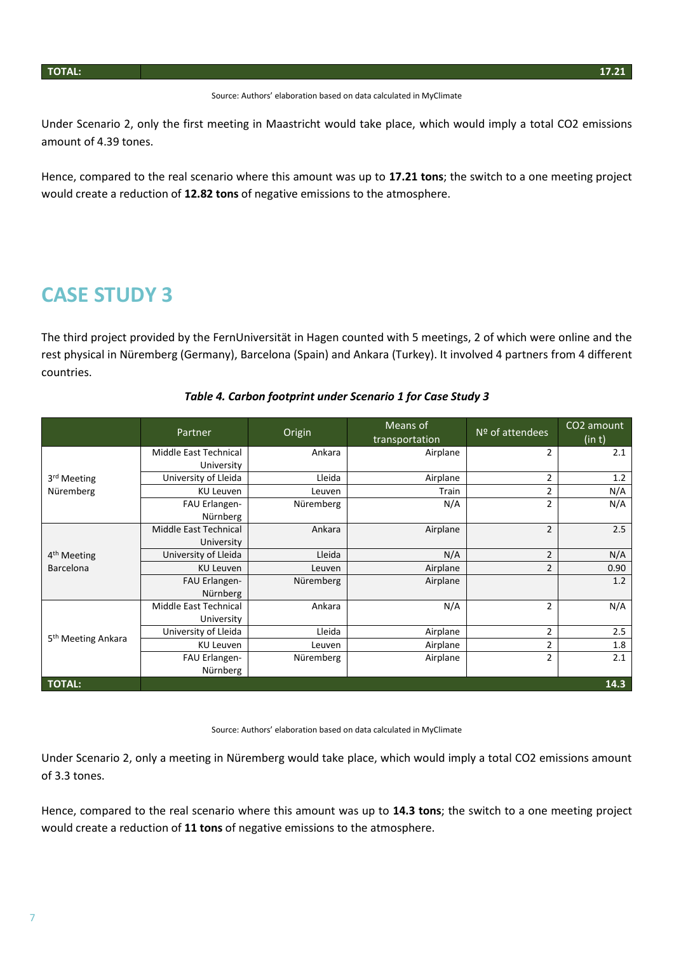Source: Authors' elaboration based on data calculated in MyClimate

Under Scenario 2, only the first meeting in Maastricht would take place, which would imply a total CO2 emissions amount of 4.39 tones.

Hence, compared to the real scenario where this amount was up to **17.21 tons**; the switch to a one meeting project would create a reduction of **12.82 tons** of negative emissions to the atmosphere.

#### **CASE STUDY 3**

The third project provided by the FernUniversität in Hagen counted with 5 meetings, 2 of which were online and the rest physical in Nüremberg (Germany), Barcelona (Spain) and Ankara (Turkey). It involved 4 partners from 4 different countries.

|                                | Partner                             | Origin    | Means of<br>transportation | Nº of attendees | CO2 amount<br>(in t) |
|--------------------------------|-------------------------------------|-----------|----------------------------|-----------------|----------------------|
|                                | Middle East Technical<br>University | Ankara    | Airplane                   | 2               | 2.1                  |
| 3 <sup>rd</sup> Meeting        | University of Lleida                | Lleida    | Airplane                   | 2               | 1.2                  |
| Nüremberg                      | KU Leuven                           | Leuven    | Train                      | 2               | N/A                  |
|                                | FAU Erlangen-<br>Nürnberg           | Nüremberg | N/A                        | 2               | N/A                  |
|                                | Middle East Technical<br>University | Ankara    | Airplane                   | $\overline{2}$  | 2.5                  |
| 4 <sup>th</sup> Meeting        | University of Lleida                | Lleida    | N/A                        | 2               | N/A                  |
| <b>Barcelona</b>               | <b>KU Leuven</b>                    | Leuven    | Airplane                   | $\overline{2}$  | 0.90                 |
|                                | FAU Erlangen-<br>Nürnberg           | Nüremberg | Airplane                   |                 | 1.2                  |
|                                | Middle East Technical               | Ankara    | N/A                        | 2               | N/A                  |
|                                | University                          |           |                            |                 |                      |
| 5 <sup>th</sup> Meeting Ankara | University of Lleida                | Lleida    | Airplane                   | 2               | 2.5                  |
|                                | KU Leuven                           | Leuven    | Airplane                   | 2               | 1.8                  |
|                                | FAU Erlangen-                       | Nüremberg | Airplane                   | 2               | 2.1                  |
|                                | Nürnberg                            |           |                            |                 |                      |
| <b>TOTAL:</b>                  |                                     |           |                            |                 | 14.3                 |

#### *Table 4. Carbon footprint under Scenario 1 for Case Study 3*

Source: Authors' elaboration based on data calculated in MyClimate

Under Scenario 2, only a meeting in Nüremberg would take place, which would imply a total CO2 emissions amount of 3.3 tones.

Hence, compared to the real scenario where this amount was up to **14.3 tons**; the switch to a one meeting project would create a reduction of **11 tons** of negative emissions to the atmosphere.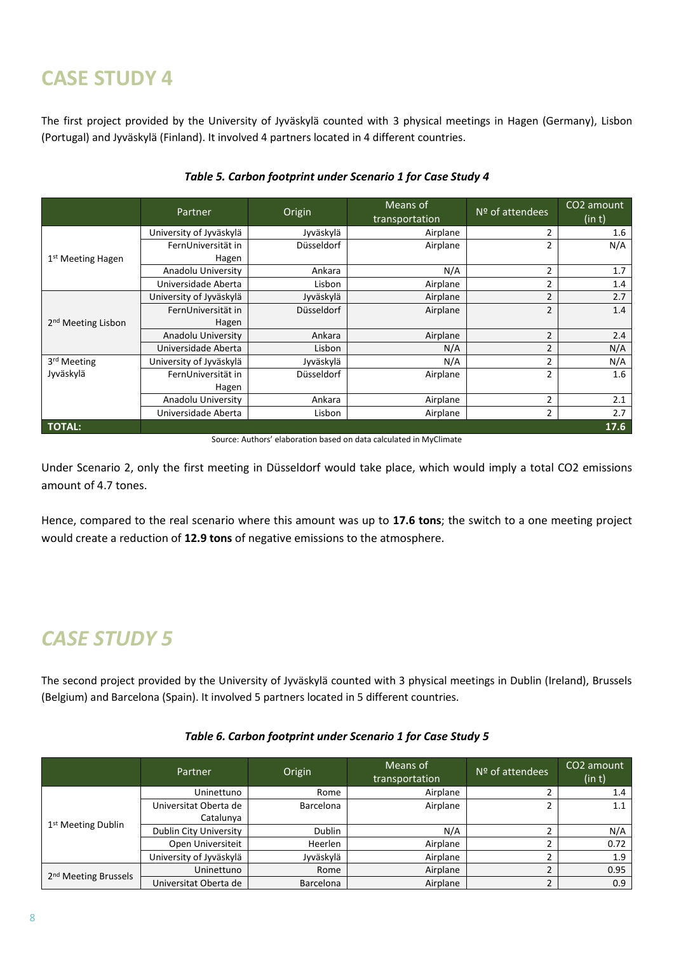The first project provided by the University of Jyväskylä counted with 3 physical meetings in Hagen (Germany), Lisbon (Portugal) and Jyväskylä (Finland). It involved 4 partners located in 4 different countries.

|                                | Partner                 | Origin            | Means of<br>transportation | $No$ of attendees | CO <sub>2</sub> amount<br>(in t) |
|--------------------------------|-------------------------|-------------------|----------------------------|-------------------|----------------------------------|
|                                | University of Jyväskylä | Jyväskylä         | Airplane                   | $\overline{2}$    | 1.6                              |
|                                | FernUniversität in      | <b>Düsseldorf</b> | Airplane                   | $\overline{2}$    | N/A                              |
| 1 <sup>st</sup> Meeting Hagen  | Hagen                   |                   |                            |                   |                                  |
|                                | Anadolu University      | Ankara            | N/A                        | $\overline{2}$    | 1.7                              |
|                                | Universidade Aberta     | Lisbon            | Airplane                   | $\overline{2}$    | 1.4                              |
|                                | University of Jyväskylä | Jyväskylä         | Airplane                   | $\overline{2}$    | 2.7                              |
|                                | FernUniversität in      | Düsseldorf        | Airplane                   | $\overline{2}$    | 1.4                              |
| 2 <sup>nd</sup> Meeting Lisbon | Hagen                   |                   |                            |                   |                                  |
|                                | Anadolu University      | Ankara            | Airplane                   | $\overline{2}$    | 2.4                              |
|                                | Universidade Aberta     | Lisbon            | N/A                        | $\overline{2}$    | N/A                              |
| 3rd Meeting                    | University of Jyväskylä | Jyväskylä         | N/A                        | 2                 | N/A                              |
| Jyväskylä                      | FernUniversität in      | Düsseldorf        | Airplane                   | 2                 | $1.6\,$                          |
|                                | Hagen                   |                   |                            |                   |                                  |
|                                | Anadolu University      | Ankara            | Airplane                   |                   | 2.1                              |
|                                | Universidade Aberta     | Lisbon            | Airplane                   | 2                 | 2.7                              |
| <b>TOTAL:</b>                  |                         |                   |                            |                   | 17.6                             |

#### *Table 5. Carbon footprint under Scenario 1 for Case Study 4*

Source: Authors' elaboration based on data calculated in MyClimate

Under Scenario 2, only the first meeting in Düsseldorf would take place, which would imply a total CO2 emissions amount of 4.7 tones.

Hence, compared to the real scenario where this amount was up to **17.6 tons**; the switch to a one meeting project would create a reduction of **12.9 tons** of negative emissions to the atmosphere.

## *CASE STUDY 5*

The second project provided by the University of Jyväskylä counted with 3 physical meetings in Dublin (Ireland), Brussels (Belgium) and Barcelona (Spain). It involved 5 partners located in 5 different countries.

|                                  | Partner                 | Origin           | Means of<br>transportation | $N9$ of attendees | CO2 amount<br>(in t) |
|----------------------------------|-------------------------|------------------|----------------------------|-------------------|----------------------|
|                                  | Uninettuno              | Rome             | Airplane                   | ے                 | 1.4                  |
|                                  | Universitat Oberta de   | <b>Barcelona</b> | Airplane                   |                   | 1.1                  |
|                                  | Catalunya               |                  |                            |                   |                      |
| 1 <sup>st</sup> Meeting Dublin   | Dublin City University  | <b>Dublin</b>    | N/A                        |                   | N/A                  |
|                                  | Open Universiteit       | Heerlen          | Airplane                   |                   | 0.72                 |
|                                  | University of Jyväskylä | Jyväskylä        | Airplane                   |                   | 1.9                  |
|                                  | Uninettuno              | Rome             | Airplane                   | C.                | 0.95                 |
| 2 <sup>nd</sup> Meeting Brussels | Universitat Oberta de   | Barcelona        | Airplane                   | 2                 | 0.9                  |

#### *Table 6. Carbon footprint under Scenario 1 for Case Study 5*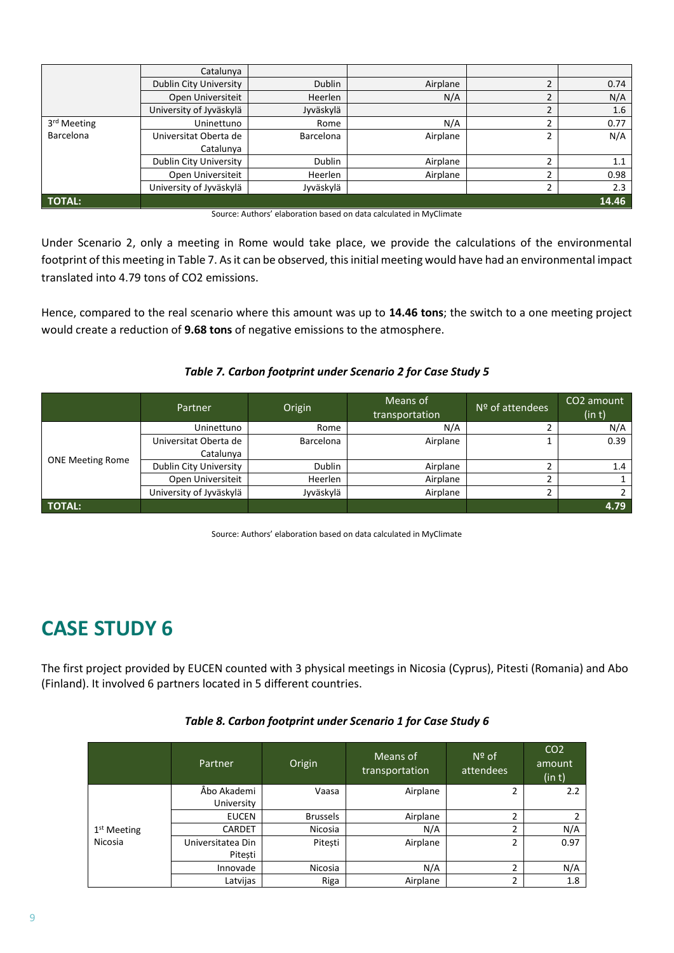|                  | Catalunya               |                  |          |                |       |
|------------------|-------------------------|------------------|----------|----------------|-------|
|                  | Dublin City University  | <b>Dublin</b>    | Airplane | h              | 0.74  |
|                  | Open Universiteit       | Heerlen          | N/A      | $\overline{2}$ | N/A   |
|                  | University of Jyväskylä | Jyväskylä        |          | C              | 1.6   |
| 3rd Meeting      | Uninettuno              | Rome             | N/A      | h              | 0.77  |
| <b>Barcelona</b> | Universitat Oberta de   | <b>Barcelona</b> | Airplane | 2              | N/A   |
|                  | Catalunya               |                  |          |                |       |
|                  | Dublin City University  | <b>Dublin</b>    | Airplane | h              | 1.1   |
|                  | Open Universiteit       | Heerlen          | Airplane | h              | 0.98  |
|                  | University of Jyväskylä | Jyväskylä        |          | 2              | 2.3   |
| TOTAL:           |                         |                  |          |                | 14.46 |

| Source: Authors' elaboration based on data calculated in MyClimate |  |  |  |  |  |  |  |
|--------------------------------------------------------------------|--|--|--|--|--|--|--|
|--------------------------------------------------------------------|--|--|--|--|--|--|--|

Under Scenario 2, only a meeting in Rome would take place, we provide the calculations of the environmental footprint of this meeting in [Table 7.](#page-8-0) As it can be observed, this initial meeting would have had an environmental impact translated into 4.79 tons of CO2 emissions.

Hence, compared to the real scenario where this amount was up to **14.46 tons**; the switch to a one meeting project would create a reduction of **9.68 tons** of negative emissions to the atmosphere.

#### *Table 7. Carbon footprint under Scenario 2 for Case Study 5*

<span id="page-8-0"></span>

|                         | Partner                 | Origin        | Means of<br>transportation | $N9$ of attendees | CO <sub>2</sub> amount<br>(in t) |
|-------------------------|-------------------------|---------------|----------------------------|-------------------|----------------------------------|
|                         | Uninettuno              | Rome          | N/A                        |                   | N/A                              |
|                         | Universitat Oberta de   | Barcelona     | Airplane                   |                   | 0.39                             |
|                         | Catalunya               |               |                            |                   |                                  |
| <b>ONE Meeting Rome</b> | Dublin City University  | <b>Dublin</b> | Airplane                   |                   | 1.4                              |
|                         | Open Universiteit       | Heerlen       | Airplane                   |                   |                                  |
|                         | University of Jyväskylä | Jyväskylä     | Airplane                   | ∍                 |                                  |
| <b>TOTAL:</b>           |                         |               |                            |                   | 4.79                             |

Source: Authors' elaboration based on data calculated in MyClimate

## **CASE STUDY 6**

The first project provided by EUCEN counted with 3 physical meetings in Nicosia (Cyprus), Pitesti (Romania) and Abo (Finland). It involved 6 partners located in 5 different countries.

|                         | Partner                      | Origin          | $N^{\circ}$ of<br>Means of<br>attendees<br>transportation |   | CO <sub>2</sub><br>amount<br>(in t) |
|-------------------------|------------------------------|-----------------|-----------------------------------------------------------|---|-------------------------------------|
|                         | Åbo Akademi<br>University    | Vaasa           | Airplane                                                  | 2 | 2.2                                 |
|                         | <b>EUCEN</b>                 | <b>Brussels</b> | Airplane                                                  | 2 | 2                                   |
| 1 <sup>st</sup> Meeting | <b>CARDET</b>                | Nicosia         | N/A                                                       | 2 | N/A                                 |
| Nicosia                 | Universitatea Din<br>Pitești | Pitești         | Airplane                                                  | 2 | 0.97                                |
|                         | Innovade                     | Nicosia         | N/A                                                       | 2 | N/A                                 |
|                         | Latvijas                     | Riga            | Airplane                                                  | 2 | 1.8                                 |

#### *Table 8. Carbon footprint under Scenario 1 for Case Study 6*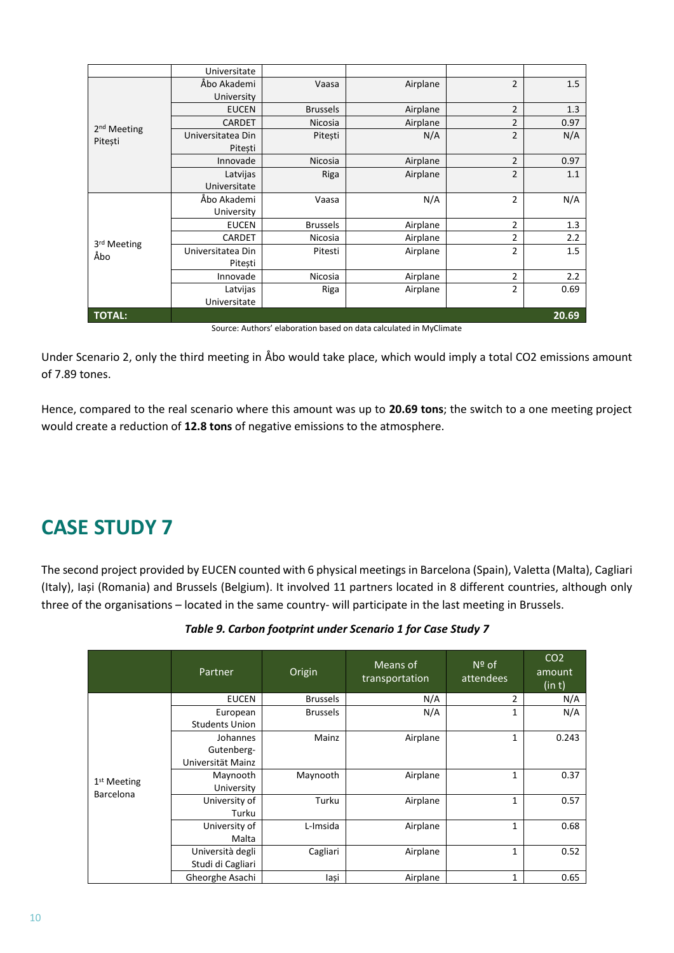|                         | Universitate      |                 |          |                |       |
|-------------------------|-------------------|-----------------|----------|----------------|-------|
|                         | Åbo Akademi       | Vaasa           | Airplane | $\overline{2}$ | 1.5   |
|                         | University        |                 |          |                |       |
|                         | <b>EUCEN</b>      | <b>Brussels</b> | Airplane | $\overline{2}$ | 1.3   |
| 2 <sup>nd</sup> Meeting | <b>CARDET</b>     | Nicosia         | Airplane | $\overline{2}$ | 0.97  |
| Pitești                 | Universitatea Din | Pitești         | N/A      | $\overline{2}$ | N/A   |
|                         | Pitesti           |                 |          |                |       |
|                         | Innovade          | Nicosia         | Airplane | $\overline{2}$ | 0.97  |
|                         | Latvijas          | Riga            | Airplane | $\overline{2}$ | 1.1   |
|                         | Universitate      |                 |          |                |       |
|                         | Åbo Akademi       | Vaasa           | N/A      | $\overline{2}$ | N/A   |
|                         | University        |                 |          |                |       |
|                         | <b>EUCEN</b>      | <b>Brussels</b> | Airplane | $\overline{2}$ | 1.3   |
| 3rd Meeting             | <b>CARDET</b>     | Nicosia         | Airplane | 2              | 2.2   |
| Åbo                     | Universitatea Din | Pitesti         | Airplane | $\overline{2}$ | 1.5   |
|                         | Pitești           |                 |          |                |       |
|                         | Innovade          | Nicosia         | Airplane | $\overline{2}$ | 2.2   |
|                         | Latvijas          | Riga            | Airplane | $\overline{2}$ | 0.69  |
|                         | Universitate      |                 |          |                |       |
| TOTAL:                  |                   |                 |          |                | 20.69 |

Source: Authors' elaboration based on data calculated in MyClimate

Under Scenario 2, only the third meeting in Åbo would take place, which would imply a total CO2 emissions amount of 7.89 tones.

Hence, compared to the real scenario where this amount was up to **20.69 tons**; the switch to a one meeting project would create a reduction of **12.8 tons** of negative emissions to the atmosphere.

### **CASE STUDY 7**

The second project provided by EUCEN counted with 6 physical meetings in Barcelona (Spain), Valetta (Malta), Cagliari (Italy), Iași (Romania) and Brussels (Belgium). It involved 11 partners located in 8 different countries, although only three of the organisations – located in the same country- will participate in the last meeting in Brussels.

|                            | Partner               | Origin          | Means of<br>transportation | $N^{\circ}$ of<br>attendees | CO <sub>2</sub><br>amount<br>(in t) |
|----------------------------|-----------------------|-----------------|----------------------------|-----------------------------|-------------------------------------|
|                            | <b>EUCEN</b>          | <b>Brussels</b> | N/A                        | 2                           | N/A                                 |
|                            | European              | <b>Brussels</b> | N/A                        | 1                           | N/A                                 |
|                            | <b>Students Union</b> |                 |                            |                             |                                     |
|                            | Johannes              | Mainz           | Airplane                   | $\mathbf{1}$                | 0.243                               |
|                            | Gutenberg-            |                 |                            |                             |                                     |
|                            | Universität Mainz     |                 |                            |                             |                                     |
|                            | Maynooth              | Maynooth        | Airplane                   | $\mathbf{1}$                | 0.37                                |
| $1st$ Meeting<br>Barcelona | University            |                 |                            |                             |                                     |
|                            | University of         | Turku           | Airplane                   | $\mathbf{1}$                | 0.57                                |
|                            | Turku                 |                 |                            |                             |                                     |
|                            | University of         | L-Imsida        | Airplane                   | 1                           | 0.68                                |
|                            | Malta                 |                 |                            |                             |                                     |
|                            | Università degli      | Cagliari        | Airplane                   | 1                           | 0.52                                |
|                            | Studi di Cagliari     |                 |                            |                             |                                     |
|                            | Gheorghe Asachi       | lași            | Airplane                   | 1                           | 0.65                                |

|  |  |  | Table 9. Carbon footprint under Scenario 1 for Case Study 7 |
|--|--|--|-------------------------------------------------------------|
|--|--|--|-------------------------------------------------------------|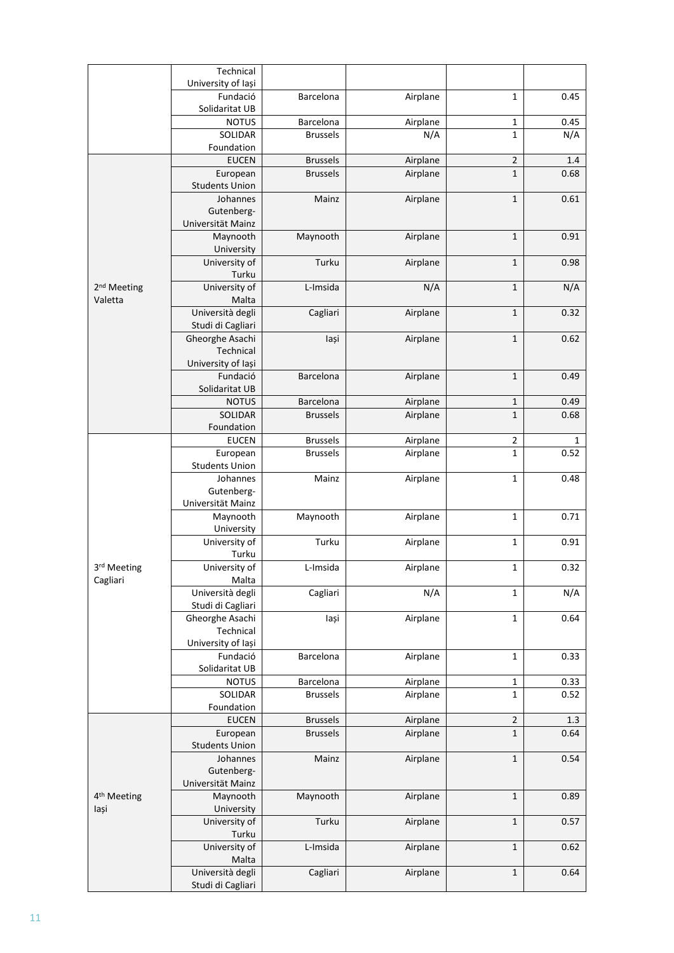|                         | Technical                  |                 |          |              |      |
|-------------------------|----------------------------|-----------------|----------|--------------|------|
|                         | University of Iași         |                 |          |              |      |
|                         | Fundació                   | Barcelona       | Airplane | $\mathbf{1}$ | 0.45 |
|                         | Solidaritat UB             |                 |          |              |      |
|                         | <b>NOTUS</b>               | Barcelona       | Airplane | 1            | 0.45 |
|                         | SOLIDAR                    | <b>Brussels</b> | N/A      | 1            | N/A  |
|                         | Foundation                 |                 |          |              |      |
|                         | <b>EUCEN</b>               | <b>Brussels</b> | Airplane | $\mathbf 2$  | 1.4  |
|                         | European                   | <b>Brussels</b> | Airplane | $\mathbf 1$  | 0.68 |
|                         | <b>Students Union</b>      |                 |          |              |      |
|                         | Johannes                   | Mainz           | Airplane | $\mathbf 1$  | 0.61 |
|                         | Gutenberg-                 |                 |          |              |      |
|                         | Universität Mainz          |                 |          |              |      |
|                         | Maynooth                   | Maynooth        | Airplane | $\mathbf 1$  | 0.91 |
|                         | University                 |                 |          |              |      |
|                         | University of              | Turku           | Airplane | 1            | 0.98 |
|                         | Turku                      |                 |          |              |      |
| 2 <sup>nd</sup> Meeting | University of              | L-Imsida        | N/A      | $\mathbf 1$  | N/A  |
| Valetta                 | Malta                      |                 |          |              |      |
|                         | Università degli           | Cagliari        | Airplane | 1            | 0.32 |
|                         | Studi di Cagliari          |                 |          |              |      |
|                         | Gheorghe Asachi            | lași            | Airplane | 1            | 0.62 |
|                         | Technical                  |                 |          |              |      |
|                         | University of lasi         |                 |          |              |      |
|                         | Fundació                   | Barcelona       | Airplane | $\mathbf{1}$ | 0.49 |
|                         | Solidaritat UB             |                 |          |              |      |
|                         | <b>NOTUS</b>               | Barcelona       | Airplane | 1            | 0.49 |
|                         | SOLIDAR                    | <b>Brussels</b> | Airplane | $\mathbf{1}$ | 0.68 |
|                         | Foundation<br><b>EUCEN</b> | <b>Brussels</b> | Airplane | $\mathbf 2$  | 1    |
|                         | European                   | <b>Brussels</b> | Airplane | $\mathbf 1$  | 0.52 |
|                         | <b>Students Union</b>      |                 |          |              |      |
|                         | Johannes                   | Mainz           | Airplane | $\mathbf{1}$ | 0.48 |
|                         | Gutenberg-                 |                 |          |              |      |
|                         | Universität Mainz          |                 |          |              |      |
|                         | Maynooth                   | Maynooth        | Airplane | $\mathbf{1}$ | 0.71 |
|                         | University                 |                 |          |              |      |
|                         | University of              | Turku           | Airplane | 1            | 0.91 |
|                         | Turku                      |                 |          |              |      |
| 3rd Meeting             | University of              | L-Imsida        | Airplane | $\mathbf 1$  | 0.32 |
| Cagliari                | Malta                      |                 |          |              |      |
|                         | Università degli           | Cagliari        | N/A      | 1            | N/A  |
|                         | Studi di Cagliari          |                 |          |              |      |
|                         | Gheorghe Asachi            | lași            | Airplane | 1            | 0.64 |
|                         | Technical                  |                 |          |              |      |
|                         | University of Iași         |                 |          |              |      |
|                         | Fundació                   | Barcelona       | Airplane | $\mathbf{1}$ | 0.33 |
|                         | Solidaritat UB             |                 |          |              |      |
|                         | <b>NOTUS</b>               | Barcelona       | Airplane | 1            | 0.33 |
|                         | SOLIDAR                    | <b>Brussels</b> | Airplane | $\mathbf 1$  | 0.52 |
|                         | Foundation                 |                 |          |              |      |
|                         | <b>EUCEN</b>               | <b>Brussels</b> | Airplane | $\mathbf 2$  | 1.3  |
|                         | European                   | <b>Brussels</b> | Airplane | 1            | 0.64 |
|                         | <b>Students Union</b>      |                 |          |              |      |
|                         | Johannes                   | Mainz           | Airplane | $\mathbf 1$  | 0.54 |
|                         | Gutenberg-                 |                 |          |              |      |
|                         | Universität Mainz          |                 |          |              |      |
| 4 <sup>th</sup> Meeting | Maynooth                   | Maynooth        | Airplane | $\mathbf 1$  | 0.89 |
| lași                    | University                 |                 |          |              |      |
|                         | University of              | Turku           | Airplane | $\mathbf 1$  | 0.57 |
|                         | Turku                      |                 |          |              |      |
|                         | University of<br>Malta     | L-Imsida        | Airplane | $\mathbf 1$  | 0.62 |
|                         | Università degli           |                 |          |              |      |
|                         | Studi di Cagliari          | Cagliari        | Airplane | $\mathbf 1$  | 0.64 |
|                         |                            |                 |          |              |      |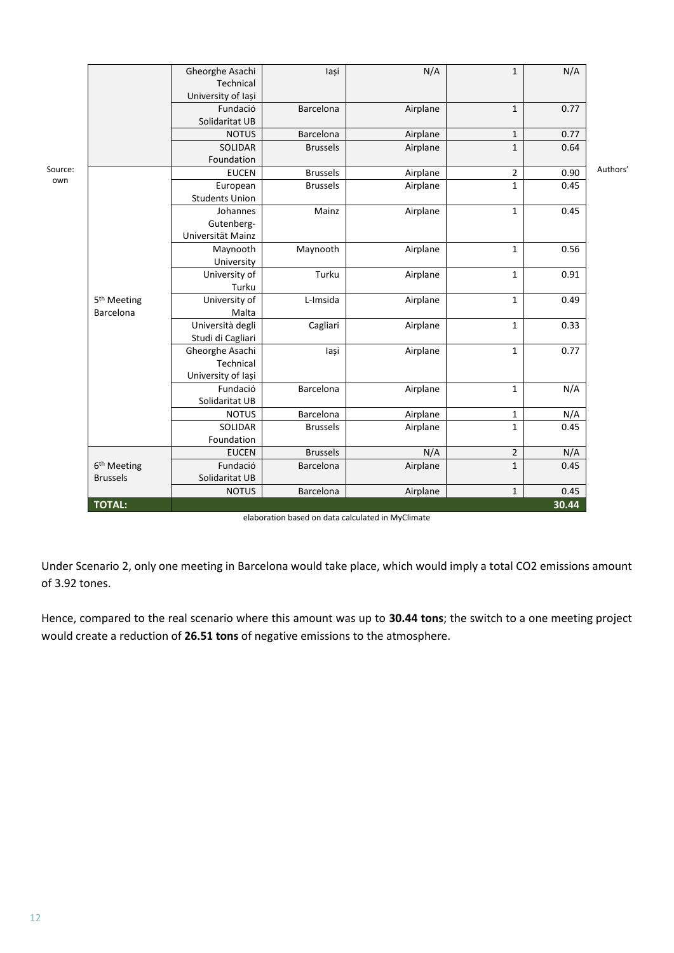|                         | Gheorghe Asachi                      | lași                                                                                                                                                                                                                                                          | N/A                                                                     | $\mathbf{1}$                                                                                             | N/A                                                                                                                                        |                                                                            |
|-------------------------|--------------------------------------|---------------------------------------------------------------------------------------------------------------------------------------------------------------------------------------------------------------------------------------------------------------|-------------------------------------------------------------------------|----------------------------------------------------------------------------------------------------------|--------------------------------------------------------------------------------------------------------------------------------------------|----------------------------------------------------------------------------|
|                         | Technical                            |                                                                                                                                                                                                                                                               |                                                                         |                                                                                                          |                                                                                                                                            |                                                                            |
|                         | University of Iași                   |                                                                                                                                                                                                                                                               |                                                                         |                                                                                                          |                                                                                                                                            |                                                                            |
|                         | Fundació                             | Barcelona                                                                                                                                                                                                                                                     | Airplane                                                                | $\mathbf{1}$                                                                                             | 0.77                                                                                                                                       |                                                                            |
|                         | Solidaritat UB                       |                                                                                                                                                                                                                                                               |                                                                         |                                                                                                          |                                                                                                                                            |                                                                            |
|                         | <b>NOTUS</b>                         | Barcelona                                                                                                                                                                                                                                                     | Airplane                                                                | $\mathbf{1}$                                                                                             | 0.77                                                                                                                                       |                                                                            |
|                         | SOLIDAR                              | <b>Brussels</b>                                                                                                                                                                                                                                               | Airplane                                                                | $\mathbf 1$                                                                                              |                                                                                                                                            |                                                                            |
|                         | Foundation                           |                                                                                                                                                                                                                                                               |                                                                         |                                                                                                          |                                                                                                                                            |                                                                            |
|                         | <b>EUCEN</b>                         | <b>Brussels</b>                                                                                                                                                                                                                                               | Airplane                                                                | $\mathbf{2}$                                                                                             | 0.90                                                                                                                                       | Authors'                                                                   |
|                         | European                             | <b>Brussels</b>                                                                                                                                                                                                                                               | Airplane                                                                |                                                                                                          | 0.45                                                                                                                                       |                                                                            |
|                         |                                      |                                                                                                                                                                                                                                                               |                                                                         |                                                                                                          |                                                                                                                                            |                                                                            |
|                         |                                      |                                                                                                                                                                                                                                                               |                                                                         |                                                                                                          |                                                                                                                                            |                                                                            |
|                         |                                      |                                                                                                                                                                                                                                                               |                                                                         |                                                                                                          |                                                                                                                                            |                                                                            |
|                         |                                      |                                                                                                                                                                                                                                                               |                                                                         |                                                                                                          |                                                                                                                                            |                                                                            |
|                         |                                      |                                                                                                                                                                                                                                                               |                                                                         |                                                                                                          |                                                                                                                                            |                                                                            |
|                         |                                      |                                                                                                                                                                                                                                                               |                                                                         |                                                                                                          |                                                                                                                                            |                                                                            |
|                         |                                      |                                                                                                                                                                                                                                                               |                                                                         |                                                                                                          |                                                                                                                                            |                                                                            |
|                         |                                      |                                                                                                                                                                                                                                                               |                                                                         |                                                                                                          |                                                                                                                                            |                                                                            |
|                         |                                      |                                                                                                                                                                                                                                                               |                                                                         |                                                                                                          |                                                                                                                                            |                                                                            |
|                         |                                      |                                                                                                                                                                                                                                                               |                                                                         |                                                                                                          |                                                                                                                                            |                                                                            |
|                         |                                      |                                                                                                                                                                                                                                                               |                                                                         |                                                                                                          |                                                                                                                                            |                                                                            |
|                         |                                      |                                                                                                                                                                                                                                                               |                                                                         |                                                                                                          |                                                                                                                                            |                                                                            |
|                         |                                      |                                                                                                                                                                                                                                                               |                                                                         |                                                                                                          |                                                                                                                                            |                                                                            |
|                         |                                      |                                                                                                                                                                                                                                                               |                                                                         |                                                                                                          |                                                                                                                                            |                                                                            |
|                         |                                      |                                                                                                                                                                                                                                                               |                                                                         |                                                                                                          |                                                                                                                                            |                                                                            |
|                         | Solidaritat UB                       |                                                                                                                                                                                                                                                               |                                                                         |                                                                                                          |                                                                                                                                            |                                                                            |
|                         | <b>NOTUS</b>                         | Barcelona                                                                                                                                                                                                                                                     |                                                                         |                                                                                                          |                                                                                                                                            |                                                                            |
|                         | SOLIDAR                              | <b>Brussels</b>                                                                                                                                                                                                                                               |                                                                         | $\mathbf{1}$                                                                                             |                                                                                                                                            |                                                                            |
|                         | Foundation                           |                                                                                                                                                                                                                                                               |                                                                         |                                                                                                          |                                                                                                                                            |                                                                            |
|                         | <b>EUCEN</b>                         | <b>Brussels</b>                                                                                                                                                                                                                                               | N/A                                                                     | $\overline{2}$                                                                                           | N/A                                                                                                                                        |                                                                            |
| 6 <sup>th</sup> Meeting | Fundació                             | Barcelona                                                                                                                                                                                                                                                     | Airplane                                                                | $\mathbf{1}$                                                                                             | 0.45                                                                                                                                       |                                                                            |
| <b>Brussels</b>         | Solidaritat UB                       |                                                                                                                                                                                                                                                               |                                                                         |                                                                                                          |                                                                                                                                            |                                                                            |
|                         | <b>NOTUS</b>                         | Barcelona                                                                                                                                                                                                                                                     | Airplane                                                                | $\mathbf{1}$                                                                                             | 0.45                                                                                                                                       |                                                                            |
| <b>TOTAL:</b>           |                                      |                                                                                                                                                                                                                                                               |                                                                         |                                                                                                          | 30.44                                                                                                                                      |                                                                            |
|                         | 5 <sup>th</sup> Meeting<br>Barcelona | <b>Students Union</b><br>Johannes<br>Gutenberg-<br>Universität Mainz<br>Maynooth<br>University<br>University of<br>Turku<br>University of<br>Malta<br>Università degli<br>Studi di Cagliari<br>Gheorghe Asachi<br>Technical<br>University of Iași<br>Fundació | Mainz<br>Maynooth<br>Turku<br>L-Imsida<br>Cagliari<br>lași<br>Barcelona | Airplane<br>Airplane<br>Airplane<br>Airplane<br>Airplane<br>Airplane<br>Airplane<br>Airplane<br>Airplane | $\mathbf{1}$<br>$\mathbf{1}$<br>$\mathbf{1}$<br>$\mathbf{1}$<br>$\mathbf{1}$<br>$\mathbf{1}$<br>$\mathbf{1}$<br>$\mathbf 1$<br>$\mathbf 1$ | 0.64<br>0.45<br>0.56<br>0.91<br>0.49<br>0.33<br>0.77<br>N/A<br>N/A<br>0.45 |

| elaboration based on data calculated in MyClimate |  |
|---------------------------------------------------|--|
|---------------------------------------------------|--|

Under Scenario 2, only one meeting in Barcelona would take place, which would imply a total CO2 emissions amount of 3.92 tones.

Hence, compared to the real scenario where this amount was up to **30.44 tons**; the switch to a one meeting project would create a reduction of **26.51 tons** of negative emissions to the atmosphere.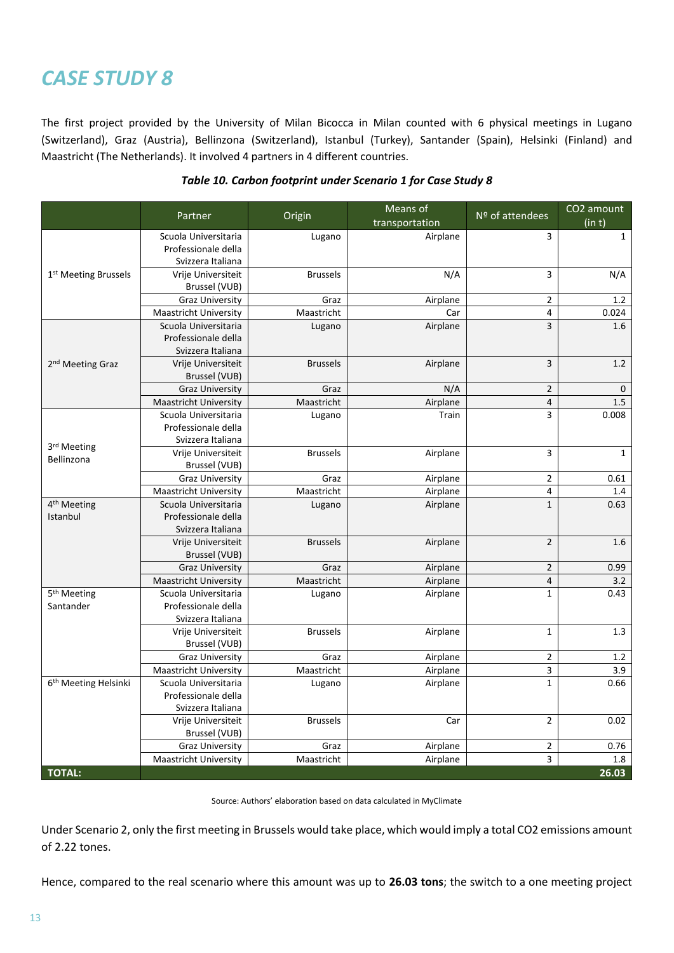The first project provided by the University of Milan Bicocca in Milan counted with 6 physical meetings in Lugano (Switzerland), Graz (Austria), Bellinzona (Switzerland), Istanbul (Turkey), Santander (Spain), Helsinki (Finland) and Maastricht (The Netherlands). It involved 4 partners in 4 different countries.

|                                     | Partner                                     | Origin          | Means of<br>transportation | Nº of attendees         | CO <sub>2</sub> amount<br>(in t) |
|-------------------------------------|---------------------------------------------|-----------------|----------------------------|-------------------------|----------------------------------|
|                                     | Scuola Universitaria                        | Lugano          | Airplane                   | 3                       | $\mathbf 1$                      |
|                                     | Professionale della                         |                 |                            |                         |                                  |
|                                     | Svizzera Italiana                           |                 |                            |                         |                                  |
| 1 <sup>st</sup> Meeting Brussels    | Vrije Universiteit                          | <b>Brussels</b> | N/A                        | 3                       | N/A                              |
|                                     | Brussel (VUB)                               |                 |                            |                         |                                  |
|                                     | <b>Graz University</b>                      | Graz            | Airplane                   | $\overline{2}$          | 1.2                              |
|                                     | Maastricht University                       | Maastricht      | Car                        | 4                       | 0.024                            |
|                                     | Scuola Universitaria                        | Lugano          | Airplane                   | 3                       | 1.6                              |
|                                     | Professionale della                         |                 |                            |                         |                                  |
|                                     | Svizzera Italiana                           |                 |                            |                         |                                  |
| 2 <sup>nd</sup> Meeting Graz        | Vrije Universiteit                          | <b>Brussels</b> | Airplane                   | 3                       | 1.2                              |
|                                     | Brussel (VUB)                               |                 |                            |                         |                                  |
|                                     | <b>Graz University</b>                      | Graz            | N/A                        | $\mathbf 2$             | 0                                |
|                                     | <b>Maastricht University</b>                | Maastricht      | Airplane                   | $\overline{\mathbf{4}}$ | 1.5                              |
|                                     | Scuola Universitaria                        | Lugano          | Train                      | 3                       | 0.008                            |
|                                     | Professionale della                         |                 |                            |                         |                                  |
| 3rd Meeting                         | Svizzera Italiana                           |                 |                            |                         |                                  |
| Bellinzona                          | Vrije Universiteit                          | <b>Brussels</b> | Airplane                   | 3                       | $1\,$                            |
|                                     | Brussel (VUB)                               |                 |                            |                         |                                  |
|                                     | <b>Graz University</b>                      | Graz            | Airplane                   | $\mathbf 2$             | 0.61<br>1.4                      |
|                                     | Maastricht University                       | Maastricht      | Airplane                   | 4                       | 0.63                             |
| 4 <sup>th</sup> Meeting<br>Istanbul | Scuola Universitaria<br>Professionale della | Lugano          | Airplane                   | $\mathbf{1}$            |                                  |
|                                     | Svizzera Italiana                           |                 |                            |                         |                                  |
|                                     | Vrije Universiteit                          | <b>Brussels</b> |                            | $\overline{2}$          | 1.6                              |
|                                     | Brussel (VUB)                               |                 | Airplane                   |                         |                                  |
|                                     | <b>Graz University</b>                      | Graz            | Airplane                   | $\mathbf 2$             | 0.99                             |
|                                     | <b>Maastricht University</b>                | Maastricht      | Airplane                   | 4                       | 3.2                              |
| 5 <sup>th</sup> Meeting             | Scuola Universitaria                        | Lugano          | Airplane                   | $\mathbf 1$             | 0.43                             |
| Santander                           | Professionale della                         |                 |                            |                         |                                  |
|                                     | Svizzera Italiana                           |                 |                            |                         |                                  |
|                                     | Vrije Universiteit                          | <b>Brussels</b> | Airplane                   | $\mathbf 1$             | 1.3                              |
|                                     | Brussel (VUB)                               |                 |                            |                         |                                  |
|                                     | <b>Graz University</b>                      | Graz            | Airplane                   | $\mathbf 2$             | 1.2                              |
|                                     | <b>Maastricht University</b>                | Maastricht      | Airplane                   | 3                       | 3.9                              |
| 6 <sup>th</sup> Meeting Helsinki    | Scuola Universitaria                        | Lugano          | Airplane                   | $\mathbf{1}$            | 0.66                             |
|                                     | Professionale della                         |                 |                            |                         |                                  |
|                                     | Svizzera Italiana                           |                 |                            |                         |                                  |
|                                     | Vrije Universiteit                          | <b>Brussels</b> | Car                        | $\overline{2}$          | 0.02                             |
|                                     | Brussel (VUB)                               |                 |                            |                         |                                  |
|                                     | <b>Graz University</b>                      | Graz            | Airplane                   | $\overline{2}$          | 0.76                             |
|                                     | <b>Maastricht University</b>                | Maastricht      | Airplane                   | 3                       | 1.8                              |
| <b>TOTAL:</b>                       |                                             |                 |                            |                         | 26.03                            |

#### *Table 10. Carbon footprint under Scenario 1 for Case Study 8*

Source: Authors' elaboration based on data calculated in MyClimate

Under Scenario 2, only the first meeting in Brussels would take place, which would imply a total CO2 emissions amount of 2.22 tones.

Hence, compared to the real scenario where this amount was up to **26.03 tons**; the switch to a one meeting project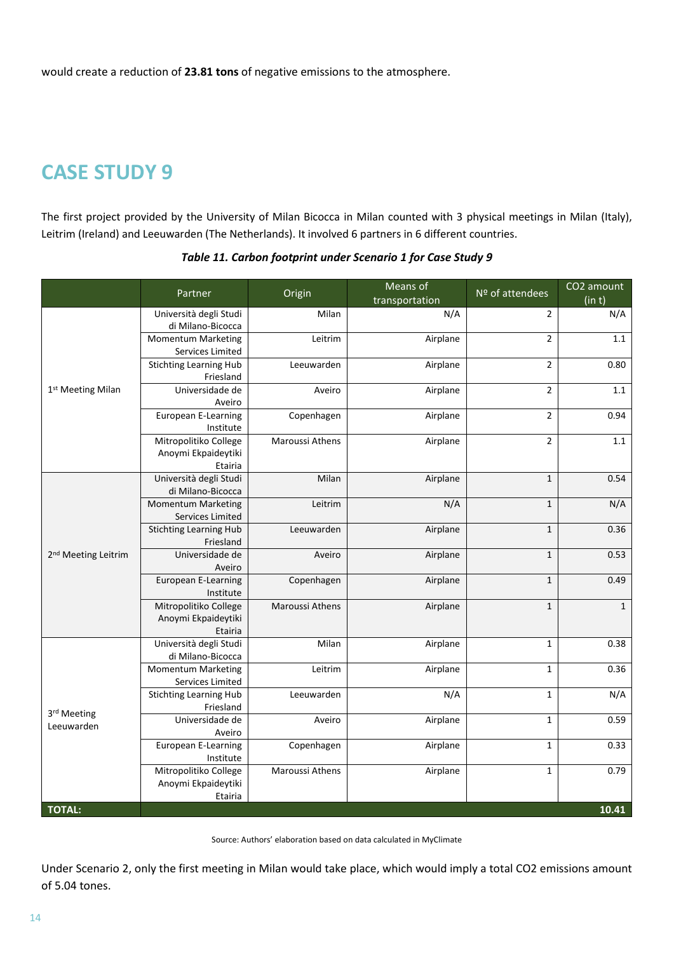would create a reduction of **23.81 tons** of negative emissions to the atmosphere.

### **CASE STUDY 9**

The first project provided by the University of Milan Bicocca in Milan counted with 3 physical meetings in Milan (Italy), Leitrim (Ireland) and Leeuwarden (The Netherlands). It involved 6 partners in 6 different countries.

|                                 | Partner                                     | Origin          | Means of<br>transportation | Nº of attendees | CO <sub>2</sub> amount<br>(in t) |
|---------------------------------|---------------------------------------------|-----------------|----------------------------|-----------------|----------------------------------|
|                                 | Università degli Studi                      | Milan           | N/A                        | $\overline{2}$  | N/A                              |
|                                 | di Milano-Bicocca                           |                 |                            |                 |                                  |
|                                 | Momentum Marketing                          | Leitrim         | Airplane                   | $\overline{2}$  | 1.1                              |
|                                 | Services Limited                            |                 |                            |                 |                                  |
|                                 | <b>Stichting Learning Hub</b>               | Leeuwarden      | Airplane                   | $\overline{2}$  | 0.80                             |
|                                 | Friesland                                   |                 |                            |                 |                                  |
| 1st Meeting Milan               | Universidade de                             | Aveiro          | Airplane                   | $\overline{2}$  | 1.1                              |
|                                 | Aveiro                                      |                 |                            |                 |                                  |
|                                 | European E-Learning                         | Copenhagen      | Airplane                   | $\overline{2}$  | 0.94                             |
|                                 | Institute                                   |                 |                            |                 |                                  |
|                                 | Mitropolitiko College                       | Maroussi Athens | Airplane                   | $\overline{2}$  | $1.1\,$                          |
|                                 | Anoymi Ekpaideytiki                         |                 |                            |                 |                                  |
|                                 | Etairia                                     | Milan           |                            |                 | 0.54                             |
|                                 | Università degli Studi<br>di Milano-Bicocca |                 | Airplane                   | $\mathbf 1$     |                                  |
|                                 | <b>Momentum Marketing</b>                   | Leitrim         | N/A                        | $\mathbf 1$     | N/A                              |
|                                 | Services Limited                            |                 |                            |                 |                                  |
|                                 | <b>Stichting Learning Hub</b>               | Leeuwarden      | Airplane                   | $\mathbf 1$     | 0.36                             |
|                                 | Friesland                                   |                 |                            |                 |                                  |
| 2 <sup>nd</sup> Meeting Leitrim | Universidade de                             | Aveiro          | Airplane                   | $\mathbf 1$     | 0.53                             |
|                                 | Aveiro                                      |                 |                            |                 |                                  |
|                                 | European E-Learning                         | Copenhagen      | Airplane                   | $\mathbf 1$     | 0.49                             |
|                                 | Institute                                   |                 |                            |                 |                                  |
|                                 | Mitropolitiko College                       | Maroussi Athens | Airplane                   | $\mathbf 1$     | $\mathbf 1$                      |
|                                 | Anoymi Ekpaideytiki                         |                 |                            |                 |                                  |
|                                 | Etairia                                     |                 |                            |                 |                                  |
|                                 | Università degli Studi                      | Milan           | Airplane                   | $\mathbf 1$     | 0.38                             |
|                                 | di Milano-Bicocca                           |                 |                            |                 |                                  |
|                                 | <b>Momentum Marketing</b>                   | Leitrim         | Airplane                   | $\mathbf 1$     | 0.36                             |
|                                 | Services Limited                            |                 |                            |                 |                                  |
|                                 | <b>Stichting Learning Hub</b>               | Leeuwarden      | N/A                        | $\mathbf{1}$    | N/A                              |
| 3rd Meeting<br>Leeuwarden       | Friesland                                   |                 |                            |                 |                                  |
|                                 | Universidade de                             | Aveiro          | Airplane                   | $\mathbf 1$     | 0.59                             |
|                                 | Aveiro                                      |                 |                            |                 |                                  |
|                                 | European E-Learning                         | Copenhagen      | Airplane                   | $\mathbf 1$     | 0.33                             |
|                                 | Institute                                   |                 |                            |                 |                                  |
|                                 | Mitropolitiko College                       | Maroussi Athens | Airplane                   | $\mathbf{1}$    | 0.79                             |
|                                 | Anoymi Ekpaideytiki                         |                 |                            |                 |                                  |
|                                 | Etairia                                     |                 |                            |                 |                                  |
| <b>TOTAL:</b>                   |                                             |                 |                            |                 | 10.41                            |

*Table 11. Carbon footprint under Scenario 1 for Case Study 9*

Source: Authors' elaboration based on data calculated in MyClimate

Under Scenario 2, only the first meeting in Milan would take place, which would imply a total CO2 emissions amount of 5.04 tones.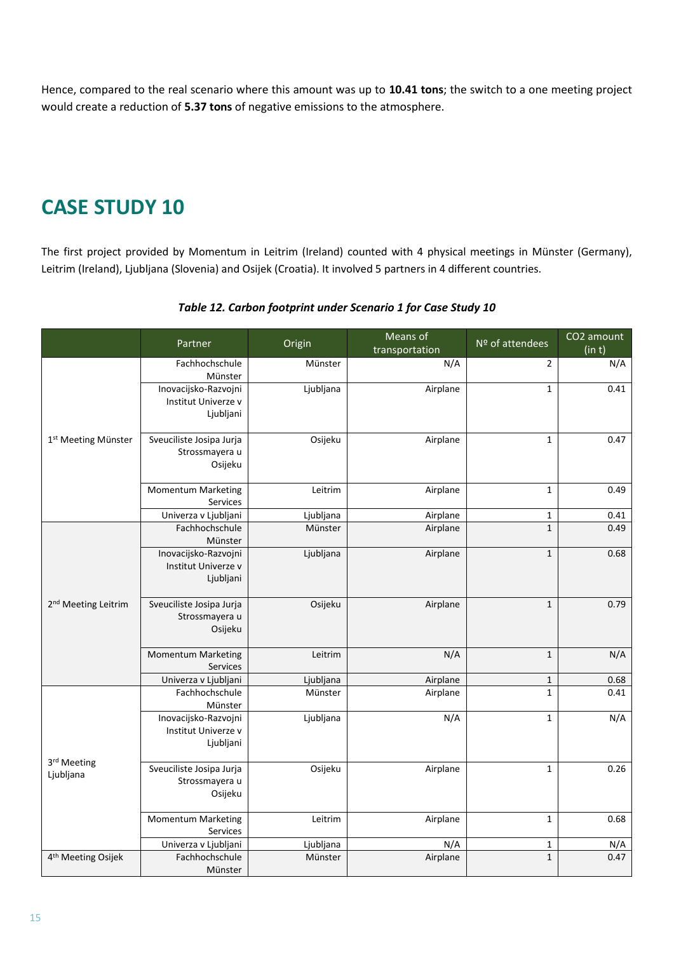Hence, compared to the real scenario where this amount was up to **10.41 tons**; the switch to a one meeting project would create a reduction of **5.37 tons** of negative emissions to the atmosphere.

### **CASE STUDY 10**

The first project provided by Momentum in Leitrim (Ireland) counted with 4 physical meetings in Münster (Germany), Leitrim (Ireland), Ljubljana (Slovenia) and Osijek (Croatia). It involved 5 partners in 4 different countries.

|                                 | Partner                                                  | Origin    | Means of<br>transportation | Nº of attendees | CO2 amount<br>(in t) |
|---------------------------------|----------------------------------------------------------|-----------|----------------------------|-----------------|----------------------|
|                                 | Fachhochschule<br>Münster                                | Münster   | N/A                        | $\overline{2}$  | N/A                  |
|                                 | Inovacijsko-Razvojni<br>Institut Univerze v<br>Ljubljani | Ljubljana | Airplane                   | $\mathbf{1}$    | 0.41                 |
| 1 <sup>st</sup> Meeting Münster | Sveuciliste Josipa Jurja<br>Strossmayera u<br>Osijeku    | Osijeku   | Airplane                   | $\mathbf 1$     | 0.47                 |
|                                 | <b>Momentum Marketing</b><br>Services                    | Leitrim   | Airplane                   | $\mathbf 1$     | 0.49                 |
|                                 | Univerza v Ljubljani                                     | Ljubljana | Airplane                   | $\mathbf{1}$    | 0.41                 |
|                                 | Fachhochschule<br>Münster                                | Münster   | Airplane                   | $\mathbf{1}$    | 0.49                 |
|                                 | Inovacijsko-Razvojni<br>Institut Univerze v<br>Ljubljani | Ljubljana | Airplane                   | $\mathbf 1$     | 0.68                 |
| 2 <sup>nd</sup> Meeting Leitrim | Sveuciliste Josipa Jurja<br>Strossmayera u<br>Osijeku    | Osijeku   | Airplane                   | $\mathbf 1$     | 0.79                 |
|                                 | <b>Momentum Marketing</b><br>Services                    | Leitrim   | N/A                        | $\mathbf{1}$    | N/A                  |
|                                 | Univerza v Ljubljani                                     | Ljubljana | Airplane                   | $\mathbf{1}$    | 0.68                 |
|                                 | Fachhochschule<br>Münster                                | Münster   | Airplane                   | $\mathbf{1}$    | 0.41                 |
| 3rd Meeting<br>Ljubljana        | Inovacijsko-Razvojni<br>Institut Univerze v<br>Ljubljani | Ljubljana | N/A                        | $\mathbf 1$     | N/A                  |
|                                 | Sveuciliste Josipa Jurja<br>Strossmayera u<br>Osijeku    | Osijeku   | Airplane                   | $\mathbf{1}$    | 0.26                 |
|                                 | <b>Momentum Marketing</b><br>Services                    | Leitrim   | Airplane                   | $\mathbf{1}$    | 0.68                 |
|                                 | Univerza v Ljubljani                                     | Ljubljana | N/A                        | $\mathbf{1}$    | N/A                  |
| 4 <sup>th</sup> Meeting Osijek  | Fachhochschule<br>Münster                                | Münster   | Airplane                   | $\mathbf 1$     | 0.47                 |

#### *Table 12. Carbon footprint under Scenario 1 for Case Study 10*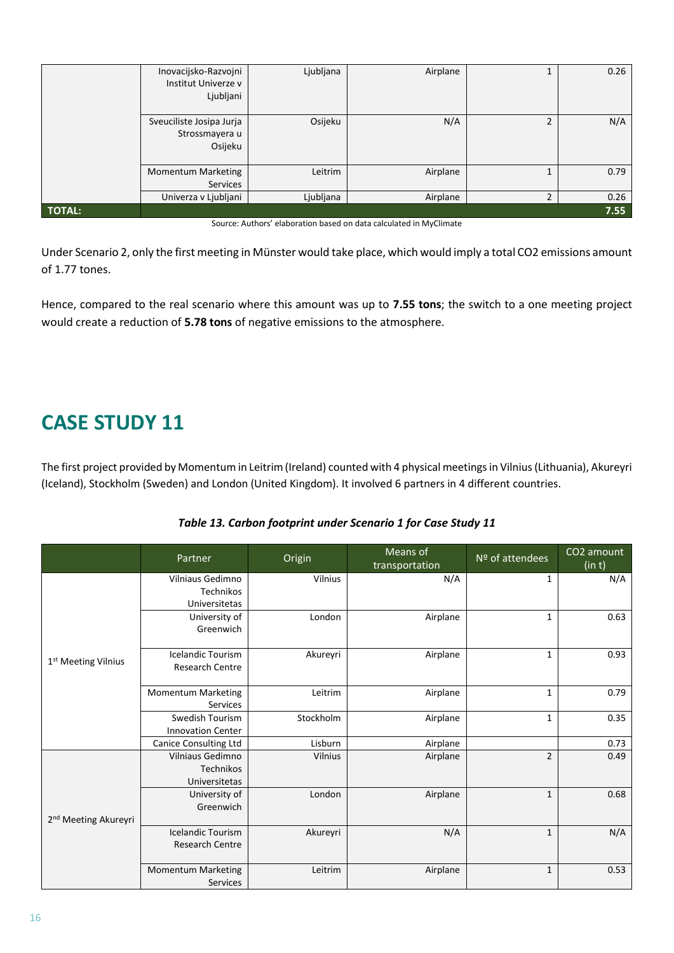|               | Inovacijsko-Razvojni<br>Institut Univerze v<br>Ljubljani | Ljubljana | Airplane |                | 0.26 |
|---------------|----------------------------------------------------------|-----------|----------|----------------|------|
|               | Sveuciliste Josipa Jurja<br>Strossmayera u<br>Osijeku    | Osijeku   | N/A      | 2              | N/A  |
|               | <b>Momentum Marketing</b><br>Services                    | Leitrim   | Airplane |                | 0.79 |
|               | Univerza v Ljubljani                                     | Ljubljana | Airplane | $\overline{2}$ | 0.26 |
| <b>TOTAL:</b> |                                                          |           |          |                | 7.55 |

Source: Authors' elaboration based on data calculated in MyClimate

Under Scenario 2, only the first meeting in Münster would take place, which would imply a total CO2 emissions amount of 1.77 tones.

Hence, compared to the real scenario where this amount was up to **7.55 tons**; the switch to a one meeting project would create a reduction of **5.78 tons** of negative emissions to the atmosphere.

### **CASE STUDY 11**

The first project provided by Momentum in Leitrim (Ireland) counted with 4 physical meetings in Vilnius (Lithuania), Akureyri (Iceland), Stockholm (Sweden) and London (United Kingdom). It involved 6 partners in 4 different countries.

#### *Table 13. Carbon footprint under Scenario 1 for Case Study 11*

|                                  | Partner                                               | Origin    | Means of<br>transportation | Nº of attendees | CO <sub>2</sub> amount<br>(in t) |
|----------------------------------|-------------------------------------------------------|-----------|----------------------------|-----------------|----------------------------------|
|                                  | Vilniaus Gedimno<br>Technikos<br>Universitetas        | Vilnius   | N/A                        | 1               | N/A                              |
|                                  | University of<br>Greenwich                            | London    | Airplane                   | $\mathbf{1}$    | 0.63                             |
| 1st Meeting Vilnius              | <b>Icelandic Tourism</b><br><b>Research Centre</b>    | Akureyri  | Airplane                   | $\mathbf{1}$    | 0.93                             |
|                                  | <b>Momentum Marketing</b><br>Services                 | Leitrim   | Airplane                   | $\mathbf{1}$    | 0.79                             |
|                                  | Swedish Tourism<br><b>Innovation Center</b>           | Stockholm | Airplane                   | $\mathbf{1}$    | 0.35                             |
|                                  | Canice Consulting Ltd                                 | Lisburn   | Airplane                   |                 | 0.73                             |
|                                  | <b>Vilniaus Gedimno</b><br>Technikos<br>Universitetas | Vilnius   | Airplane                   | $\overline{2}$  | 0.49                             |
| 2 <sup>nd</sup> Meeting Akureyri | University of<br>Greenwich                            | London    | Airplane                   | $\mathbf{1}$    | 0.68                             |
|                                  | <b>Icelandic Tourism</b><br><b>Research Centre</b>    | Akureyri  | N/A                        | $\mathbf{1}$    | N/A                              |
|                                  | <b>Momentum Marketing</b><br>Services                 | Leitrim   | Airplane                   | $\mathbf{1}$    | 0.53                             |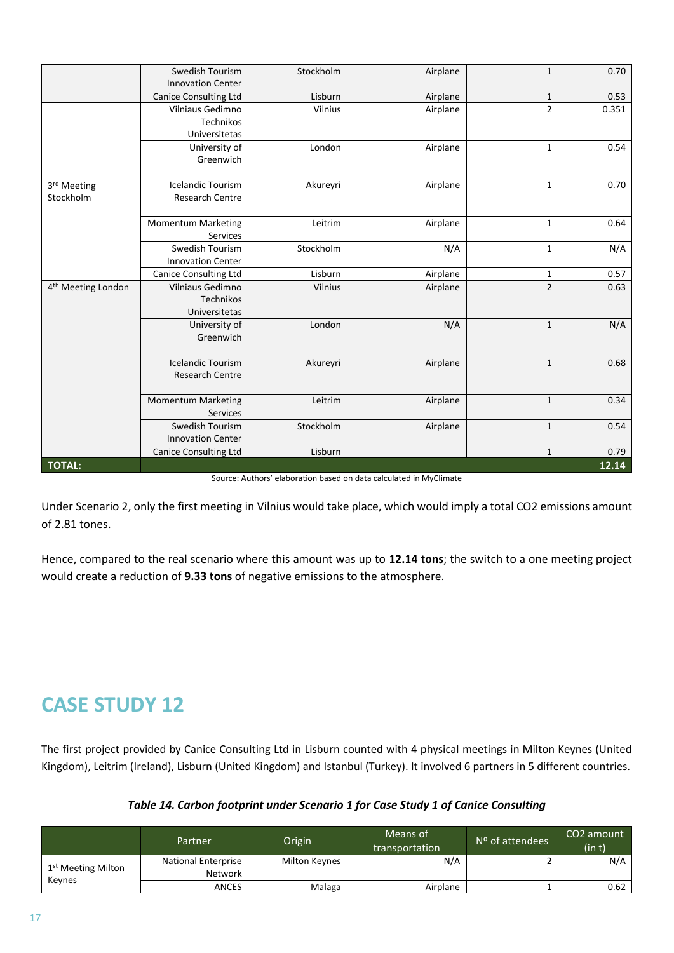|                                | Swedish Tourism<br><b>Innovation Center</b> | Stockholm | Airplane                                                           | $\mathbf{1}$   | 0.70  |
|--------------------------------|---------------------------------------------|-----------|--------------------------------------------------------------------|----------------|-------|
|                                | <b>Canice Consulting Ltd</b>                | Lisburn   | Airplane                                                           | $\mathbf{1}$   | 0.53  |
|                                | Vilniaus Gedimno                            | Vilnius   | Airplane                                                           | $\overline{2}$ | 0.351 |
|                                | Technikos                                   |           |                                                                    |                |       |
|                                | Universitetas                               |           |                                                                    |                |       |
|                                | University of                               | London    | Airplane                                                           | $\mathbf{1}$   | 0.54  |
|                                | Greenwich                                   |           |                                                                    |                |       |
| 3rd Meeting                    | <b>Icelandic Tourism</b>                    | Akureyri  | Airplane                                                           | $\mathbf{1}$   | 0.70  |
| Stockholm                      | <b>Research Centre</b>                      |           |                                                                    |                |       |
|                                |                                             |           |                                                                    |                |       |
|                                | <b>Momentum Marketing</b>                   | Leitrim   | Airplane                                                           | $\mathbf{1}$   | 0.64  |
|                                | <b>Services</b>                             |           |                                                                    |                |       |
|                                | Swedish Tourism                             | Stockholm | N/A                                                                | $\mathbf{1}$   | N/A   |
|                                | <b>Innovation Center</b>                    |           |                                                                    |                |       |
|                                | <b>Canice Consulting Ltd</b>                | Lisburn   | Airplane                                                           | $\mathbf{1}$   | 0.57  |
| 4 <sup>th</sup> Meeting London | Vilniaus Gedimno                            | Vilnius   | Airplane                                                           | $\overline{2}$ | 0.63  |
|                                | Technikos                                   |           |                                                                    |                |       |
|                                | Universitetas                               |           |                                                                    |                |       |
|                                | University of                               | London    | N/A                                                                | $\mathbf{1}$   | N/A   |
|                                | Greenwich                                   |           |                                                                    |                |       |
|                                | <b>Icelandic Tourism</b>                    | Akureyri  | Airplane                                                           | $\mathbf{1}$   | 0.68  |
|                                | <b>Research Centre</b>                      |           |                                                                    |                |       |
|                                |                                             |           |                                                                    |                |       |
|                                | <b>Momentum Marketing</b>                   | Leitrim   | Airplane                                                           | $\mathbf{1}$   | 0.34  |
|                                | <b>Services</b>                             |           |                                                                    |                |       |
|                                | Swedish Tourism                             | Stockholm | Airplane                                                           | $\mathbf{1}$   | 0.54  |
|                                | <b>Innovation Center</b>                    |           |                                                                    |                |       |
|                                | <b>Canice Consulting Ltd</b>                | Lisburn   |                                                                    | $\mathbf{1}$   | 0.79  |
| <b>TOTAL:</b>                  |                                             |           | Source: Authors' elaboration based on data calculated in MuClimate |                | 12.14 |

Source: Authors' elaboration based on data calculated in MyClimate

Under Scenario 2, only the first meeting in Vilnius would take place, which would imply a total CO2 emissions amount of 2.81 tones.

Hence, compared to the real scenario where this amount was up to **12.14 tons**; the switch to a one meeting project would create a reduction of **9.33 tons** of negative emissions to the atmosphere.

# **CASE STUDY 12**

The first project provided by Canice Consulting Ltd in Lisburn counted with 4 physical meetings in Milton Keynes (United Kingdom), Leitrim (Ireland), Lisburn (United Kingdom) and Istanbul (Turkey). It involved 6 partners in 5 different countries.

*Table 14. Carbon footprint under Scenario 1 for Case Study 1 of Canice Consulting*

|                                | Partner                    | Origin        | Means of<br>transportation | $N9$ of attendees | CO <sub>2</sub> amount<br>(in t) |
|--------------------------------|----------------------------|---------------|----------------------------|-------------------|----------------------------------|
| 1 <sup>st</sup> Meeting Milton | <b>National Enterprise</b> | Milton Keynes | N/A                        |                   | N/A                              |
|                                | Network                    |               |                            |                   |                                  |
| Keynes                         | ANCES                      | Malaga        | Airplane                   |                   | 0.62                             |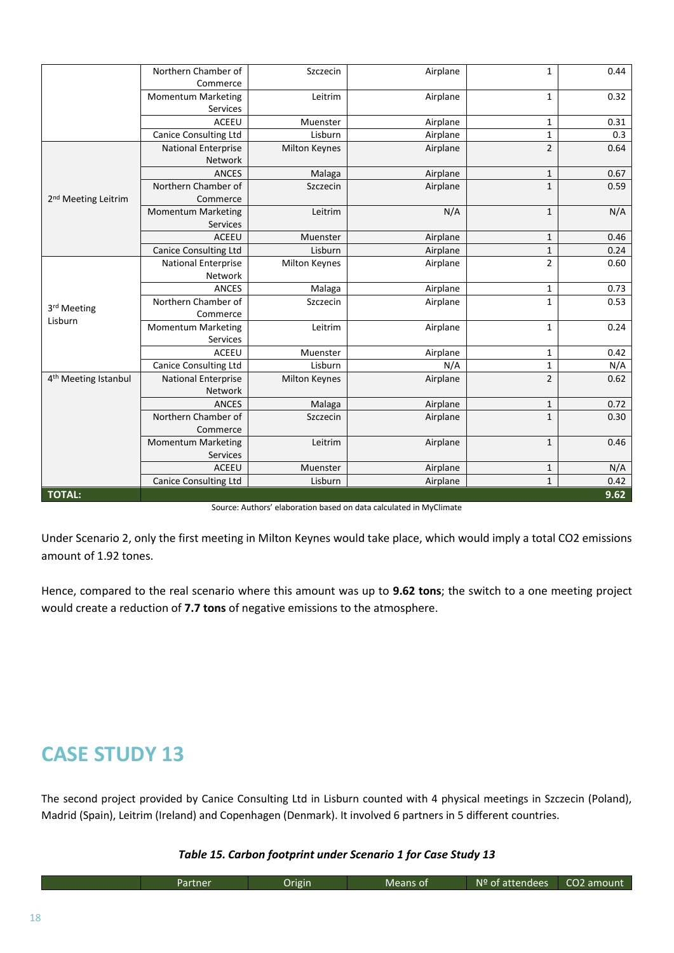|                                  | Northern Chamber of          | Szczecin             | Airplane | $\mathbf{1}$   | 0.44 |
|----------------------------------|------------------------------|----------------------|----------|----------------|------|
|                                  | Commerce                     |                      |          |                |      |
|                                  | <b>Momentum Marketing</b>    | Leitrim              | Airplane | $\mathbf{1}$   | 0.32 |
|                                  | Services                     |                      |          |                |      |
|                                  | ACEEU                        | Muenster             | Airplane | $\mathbf{1}$   | 0.31 |
|                                  | <b>Canice Consulting Ltd</b> | Lisburn              | Airplane | $\mathbf{1}$   | 0.3  |
|                                  | <b>National Enterprise</b>   | <b>Milton Keynes</b> | Airplane | $\overline{2}$ | 0.64 |
|                                  | Network                      |                      |          |                |      |
|                                  | <b>ANCES</b>                 | Malaga               | Airplane | $\mathbf 1$    | 0.67 |
|                                  | Northern Chamber of          | Szczecin             | Airplane | $\mathbf{1}$   | 0.59 |
| 2 <sup>nd</sup> Meeting Leitrim  | Commerce                     |                      |          |                |      |
|                                  | <b>Momentum Marketing</b>    | Leitrim              | N/A      | $\mathbf{1}$   | N/A  |
|                                  | Services                     |                      |          |                |      |
|                                  | <b>ACEEU</b>                 | Muenster             | Airplane | $\mathbf{1}$   | 0.46 |
|                                  | <b>Canice Consulting Ltd</b> | Lisburn              | Airplane | $\mathbf 1$    | 0.24 |
|                                  | <b>National Enterprise</b>   | <b>Milton Keynes</b> | Airplane | $\overline{2}$ | 0.60 |
| 3rd Meeting<br>Lisburn           | Network                      |                      |          |                |      |
|                                  | <b>ANCES</b>                 | Malaga               | Airplane | $\mathbf{1}$   | 0.73 |
|                                  | Northern Chamber of          | Szczecin             | Airplane | $\mathbf{1}$   | 0.53 |
|                                  | Commerce                     |                      |          |                |      |
|                                  | <b>Momentum Marketing</b>    | Leitrim              | Airplane | $\mathbf{1}$   | 0.24 |
|                                  | Services                     |                      |          |                |      |
|                                  | <b>ACEEU</b>                 | Muenster             | Airplane | $\mathbf{1}$   | 0.42 |
|                                  | <b>Canice Consulting Ltd</b> | Lisburn              | N/A      | $\mathbf{1}$   | N/A  |
| 4 <sup>th</sup> Meeting Istanbul | <b>National Enterprise</b>   | <b>Milton Keynes</b> | Airplane | $\overline{2}$ | 0.62 |
|                                  | Network                      |                      |          |                |      |
|                                  | <b>ANCES</b>                 | Malaga               | Airplane | $\mathbf{1}$   | 0.72 |
|                                  | Northern Chamber of          | Szczecin             | Airplane | $\mathbf{1}$   | 0.30 |
|                                  | Commerce                     |                      |          |                |      |
|                                  | <b>Momentum Marketing</b>    | Leitrim              | Airplane | $\mathbf{1}$   | 0.46 |
|                                  | Services                     |                      |          |                |      |
|                                  | <b>ACEEU</b>                 | Muenster             | Airplane | $\mathbf{1}$   | N/A  |
|                                  | <b>Canice Consulting Ltd</b> | Lisburn              | Airplane | $\mathbf 1$    | 0.42 |
| <b>TOTAL:</b>                    |                              |                      |          |                | 9.62 |

|  | Source: Authors' elaboration based on data calculated in MyClimate |
|--|--------------------------------------------------------------------|
|--|--------------------------------------------------------------------|

Under Scenario 2, only the first meeting in Milton Keynes would take place, which would imply a total CO2 emissions amount of 1.92 tones.

Hence, compared to the real scenario where this amount was up to **9.62 tons**; the switch to a one meeting project would create a reduction of **7.7 tons** of negative emissions to the atmosphere.

### **CASE STUDY 13**

The second project provided by Canice Consulting Ltd in Lisburn counted with 4 physical meetings in Szczecin (Poland), Madrid (Spain), Leitrim (Ireland) and Copenhagen (Denmark). It involved 6 partners in 5 different countries.

#### *Table 15. Carbon footprint under Scenario 1 for Case Study 13*

| artner | Drigin | Means of | N <sub>2</sub><br>attendees<br>' OT | cos<br>Lamoun.<br>$\overline{11}$ |
|--------|--------|----------|-------------------------------------|-----------------------------------|
|        |        |          |                                     |                                   |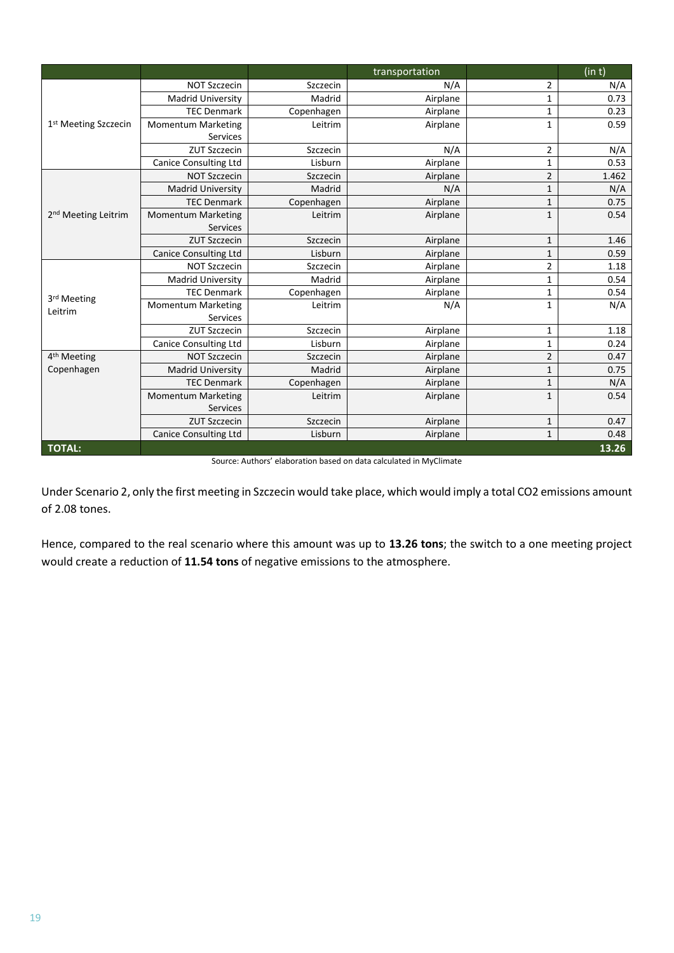|                                       |                              |            | transportation |                | (in t) |
|---------------------------------------|------------------------------|------------|----------------|----------------|--------|
|                                       | <b>NOT Szczecin</b>          | Szczecin   | N/A            | $\overline{2}$ | N/A    |
|                                       | <b>Madrid University</b>     | Madrid     | Airplane       | $\mathbf{1}$   | 0.73   |
|                                       | <b>TEC Denmark</b>           | Copenhagen | Airplane       | $\mathbf{1}$   | 0.23   |
| 1 <sup>st</sup> Meeting Szczecin      | <b>Momentum Marketing</b>    | Leitrim    | Airplane       | $\mathbf{1}$   | 0.59   |
|                                       | Services                     |            |                |                |        |
|                                       | <b>ZUT Szczecin</b>          | Szczecin   | N/A            | $\overline{2}$ | N/A    |
|                                       | <b>Canice Consulting Ltd</b> | Lisburn    | Airplane       | $\mathbf{1}$   | 0.53   |
|                                       | <b>NOT Szczecin</b>          | Szczecin   | Airplane       | $\overline{2}$ | 1.462  |
|                                       | <b>Madrid University</b>     | Madrid     | N/A            | $\mathbf 1$    | N/A    |
|                                       | <b>TEC Denmark</b>           | Copenhagen | Airplane       | $\mathbf{1}$   | 0.75   |
| 2 <sup>nd</sup> Meeting Leitrim       | <b>Momentum Marketing</b>    | Leitrim    | Airplane       | $\mathbf{1}$   | 0.54   |
|                                       | <b>Services</b>              |            |                |                |        |
|                                       | <b>ZUT Szczecin</b>          | Szczecin   | Airplane       | $\mathbf{1}$   | 1.46   |
|                                       | <b>Canice Consulting Ltd</b> | Lisburn    | Airplane       | $\mathbf 1$    | 0.59   |
| 3rd Meeting<br>Leitrim                | <b>NOT Szczecin</b>          | Szczecin   | Airplane       | $\overline{2}$ | 1.18   |
|                                       | <b>Madrid University</b>     | Madrid     | Airplane       | $\mathbf{1}$   | 0.54   |
|                                       | <b>TEC Denmark</b>           | Copenhagen | Airplane       | $\mathbf 1$    | 0.54   |
|                                       | <b>Momentum Marketing</b>    | Leitrim    | N/A            | $\mathbf 1$    | N/A    |
|                                       | Services                     |            |                |                |        |
|                                       | <b>ZUT Szczecin</b>          | Szczecin   | Airplane       | $\mathbf{1}$   | 1.18   |
|                                       | <b>Canice Consulting Ltd</b> | Lisburn    | Airplane       | $\mathbf{1}$   | 0.24   |
| 4 <sup>th</sup> Meeting<br>Copenhagen | <b>NOT Szczecin</b>          | Szczecin   | Airplane       | $\overline{2}$ | 0.47   |
|                                       | <b>Madrid University</b>     | Madrid     | Airplane       | $\mathbf{1}$   | 0.75   |
|                                       | <b>TEC Denmark</b>           | Copenhagen | Airplane       | $\mathbf{1}$   | N/A    |
|                                       | <b>Momentum Marketing</b>    | Leitrim    | Airplane       | $\mathbf{1}$   | 0.54   |
|                                       | <b>Services</b>              |            |                |                |        |
|                                       | <b>ZUT Szczecin</b>          | Szczecin   | Airplane       | $\mathbf{1}$   | 0.47   |
|                                       | <b>Canice Consulting Ltd</b> | Lisburn    | Airplane       | $\mathbf{1}$   | 0.48   |
| <b>TOTAL:</b>                         |                              |            |                |                | 13.26  |

Source: Authors' elaboration based on data calculated in MyClimate

Under Scenario 2, only the first meeting in Szczecin would take place, which would imply a total CO2 emissions amount of 2.08 tones.

Hence, compared to the real scenario where this amount was up to **13.26 tons**; the switch to a one meeting project would create a reduction of **11.54 tons** of negative emissions to the atmosphere.